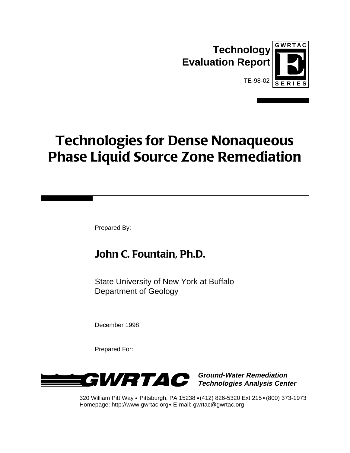



# **Technologies for Dense Nonaqueous Phase Liquid Source Zone Remediation**

Prepared By:

# **John C. Fountain, Ph.D.**

State University of New York at Buffalo Department of Geology

December 1998

Prepared For:



**Technologies Analysis Center**

320 William Pitt Way Pittsburgh, PA 15238 (412) 826-5320 Ext 215 (800) 373-1973 Homepage: http://www.gwrtac.org E-mail: gwrtac@gwrtac.org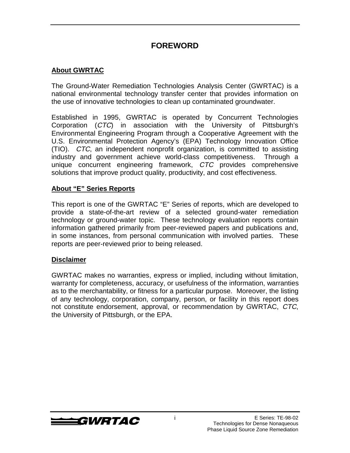### **FOREWORD**

#### **About GWRTAC**

The Ground-Water Remediation Technologies Analysis Center (GWRTAC) is a national environmental technology transfer center that provides information on the use of innovative technologies to clean up contaminated groundwater.

Established in 1995, GWRTAC is operated by Concurrent Technologies Corporation (CTC) in association with the University of Pittsburgh's Environmental Engineering Program through a Cooperative Agreement with the U.S. Environmental Protection Agency's (EPA) Technology Innovation Office (TIO). CTC, an independent nonprofit organization, is committed to assisting industry and government achieve world-class competitiveness. Through a unique concurrent engineering framework, CTC provides comprehensive solutions that improve product quality, productivity, and cost effectiveness.

#### **About "E" Series Reports**

This report is one of the GWRTAC "E" Series of reports, which are developed to provide a state-of-the-art review of a selected ground-water remediation technology or ground-water topic. These technology evaluation reports contain information gathered primarily from peer-reviewed papers and publications and, in some instances, from personal communication with involved parties. These reports are peer-reviewed prior to being released.

#### **Disclaimer**

GWRTAC makes no warranties, express or implied, including without limitation, warranty for completeness, accuracy, or usefulness of the information, warranties as to the merchantability, or fitness for a particular purpose. Moreover, the listing of any technology, corporation, company, person, or facility in this report does not constitute endorsement, approval, or recommendation by GWRTAC, CTC, the University of Pittsburgh, or the EPA.

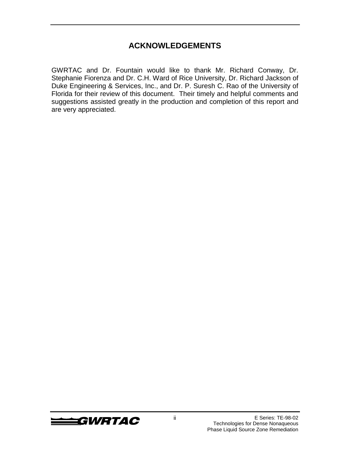### **ACKNOWLEDGEMENTS**

GWRTAC and Dr. Fountain would like to thank Mr. Richard Conway, Dr. Stephanie Fiorenza and Dr. C.H. Ward of Rice University, Dr. Richard Jackson of Duke Engineering & Services, Inc., and Dr. P. Suresh C. Rao of the University of Florida for their review of this document. Their timely and helpful comments and suggestions assisted greatly in the production and completion of this report and are very appreciated.

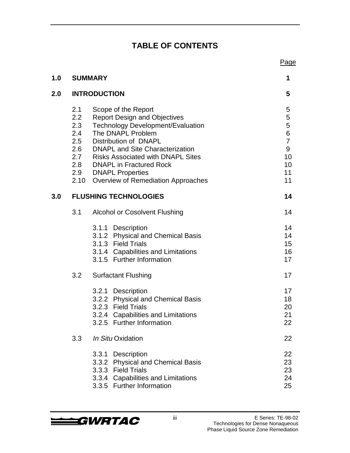### **TABLE OF CONTENTS**

|     |                                 |                                                                                                                                                                                                                                                                                                                                        | Page                                                                      |
|-----|---------------------------------|----------------------------------------------------------------------------------------------------------------------------------------------------------------------------------------------------------------------------------------------------------------------------------------------------------------------------------------|---------------------------------------------------------------------------|
| 1.0 |                                 | <b>SUMMARY</b>                                                                                                                                                                                                                                                                                                                         | 1                                                                         |
| 2.0 |                                 | <b>INTRODUCTION</b>                                                                                                                                                                                                                                                                                                                    | 5                                                                         |
|     | 2.1<br>2.2<br>2.3<br>2.4<br>2.5 | Scope of the Report<br><b>Report Design and Objectives</b><br><b>Technology Development/Evaluation</b><br>The DNAPL Problem<br>Distribution of DNAPL<br>2.6 DNAPL and Site Characterization<br>2.7 Risks Associated with DNAPL Sites<br>2.8 DNAPL in Fractured Rock<br>2.9 DNAPL Properties<br>2.10 Overview of Remediation Approaches | 5<br>5<br>5<br>$\,$ 6 $\,$<br>$\overline{7}$<br>9<br>10<br>10<br>11<br>11 |
| 3.0 |                                 | <b>FLUSHING TECHNOLOGIES</b>                                                                                                                                                                                                                                                                                                           | 14                                                                        |
|     | 3.1                             | <b>Alcohol or Cosolvent Flushing</b>                                                                                                                                                                                                                                                                                                   | 14                                                                        |
|     |                                 | 3.1.1 Description<br>3.1.2 Physical and Chemical Basis<br>3.1.3 Field Trials<br>3.1.4 Capabilities and Limitations<br>3.1.5 Further Information                                                                                                                                                                                        | 14<br>14<br>15<br>16<br>17                                                |
|     | 3.2                             | <b>Surfactant Flushing</b>                                                                                                                                                                                                                                                                                                             | 17                                                                        |
|     |                                 | 3.2.1 Description<br>3.2.2 Physical and Chemical Basis<br>3.2.3 Field Trials<br>3.2.4 Capabilities and Limitations<br>3.2.5 Further Information                                                                                                                                                                                        | 17<br>18<br>20<br>21<br>22                                                |
|     | 3.3                             | In Situ Oxidation                                                                                                                                                                                                                                                                                                                      | 22                                                                        |
|     |                                 | 3.3.1<br>Description<br>3.3.2 Physical and Chemical Basis<br>3.3.3 Field Trials<br>3.3.4 Capabilities and Limitations<br>3.3.5 Further Information                                                                                                                                                                                     | 22<br>23<br>23<br>24<br>25                                                |

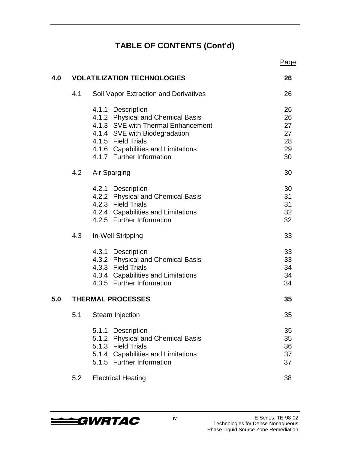# **TABLE OF CONTENTS (Cont'd)**

|     |     |                                                                                                                                                                                                                        | Page                                   |
|-----|-----|------------------------------------------------------------------------------------------------------------------------------------------------------------------------------------------------------------------------|----------------------------------------|
| 4.0 |     | <b>VOLATILIZATION TECHNOLOGIES</b>                                                                                                                                                                                     | 26                                     |
|     | 4.1 | <b>Soil Vapor Extraction and Derivatives</b>                                                                                                                                                                           | 26                                     |
|     |     | 4.1.1 Description<br>4.1.2 Physical and Chemical Basis<br>4.1.3 SVE with Thermal Enhancement<br>4.1.4 SVE with Biodegradation<br>4.1.5 Field Trials<br>4.1.6 Capabilities and Limitations<br>4.1.7 Further Information | 26<br>26<br>27<br>27<br>28<br>29<br>30 |
|     | 4.2 | Air Sparging                                                                                                                                                                                                           | 30                                     |
|     |     | 4.2.1 Description<br>4.2.2 Physical and Chemical Basis<br>4.2.3 Field Trials<br>4.2.4 Capabilities and Limitations<br>4.2.5 Further Information                                                                        | 30<br>31<br>31<br>32<br>32             |
|     | 4.3 | In-Well Stripping                                                                                                                                                                                                      | 33                                     |
|     |     | 4.3.1 Description<br>4.3.2 Physical and Chemical Basis<br>4.3.3 Field Trials<br>4.3.4 Capabilities and Limitations<br>4.3.5 Further Information                                                                        | 33<br>33<br>34<br>34<br>34             |
| 5.0 |     | <b>THERMAL PROCESSES</b>                                                                                                                                                                                               | 35                                     |
|     | 5.1 | Steam Injection                                                                                                                                                                                                        | 35                                     |
|     |     | 5.1.1 Description<br>5.1.2 Physical and Chemical Basis<br>5.1.3 Field Trials<br>5.1.4 Capabilities and Limitations<br>5.1.5 Further Information                                                                        | 35<br>35<br>36<br>37<br>37             |
|     | 5.2 | <b>Electrical Heating</b>                                                                                                                                                                                              | 38                                     |
|     |     |                                                                                                                                                                                                                        |                                        |

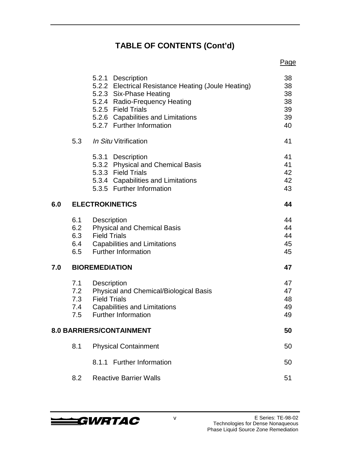# **TABLE OF CONTENTS (Cont'd)**

|     |                          |                                                                                                                                                                                                                               | Page                                   |
|-----|--------------------------|-------------------------------------------------------------------------------------------------------------------------------------------------------------------------------------------------------------------------------|----------------------------------------|
|     |                          | 5.2.1 Description<br>5.2.2 Electrical Resistance Heating (Joule Heating)<br>5.2.3 Six-Phase Heating<br>5.2.4 Radio-Frequency Heating<br>5.2.5 Field Trials<br>5.2.6 Capabilities and Limitations<br>5.2.7 Further Information | 38<br>38<br>38<br>38<br>39<br>39<br>40 |
|     | 5.3                      | In Situ Vitrification                                                                                                                                                                                                         | 41                                     |
|     |                          | 5.3.1 Description<br>5.3.2 Physical and Chemical Basis<br>5.3.3 Field Trials<br>5.3.4 Capabilities and Limitations<br>5.3.5 Further Information                                                                               | 41<br>41<br>42<br>42<br>43             |
| 6.0 |                          | <b>ELECTROKINETICS</b>                                                                                                                                                                                                        | 44                                     |
|     | 6.1<br>6.2<br>6.5        | Description<br><b>Physical and Chemical Basis</b><br>6.3 Field Trials<br>6.4 Capabilities and Limitations<br><b>Further Information</b>                                                                                       | 44<br>44<br>44<br>45<br>45             |
| 7.0 |                          | <b>BIOREMEDIATION</b>                                                                                                                                                                                                         | 47                                     |
|     | 7.1<br>7.3<br>7.4<br>7.5 | Description<br>7.2 Physical and Chemical/Biological Basis<br><b>Field Trials</b><br><b>Capabilities and Limitations</b><br><b>Further Information</b>                                                                         | 47<br>47<br>48<br>49<br>49             |
|     |                          | 8.0 BARRIERS/CONTAINMENT                                                                                                                                                                                                      | 50                                     |
|     | 8.1                      | <b>Physical Containment</b>                                                                                                                                                                                                   | 50                                     |
|     |                          | 8.1.1 Further Information                                                                                                                                                                                                     | 50                                     |
|     | 8.2                      | <b>Reactive Barrier Walls</b>                                                                                                                                                                                                 | 51                                     |
|     |                          |                                                                                                                                                                                                                               |                                        |

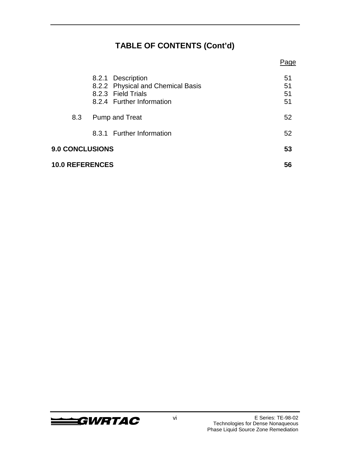# **TABLE OF CONTENTS (Cont'd)**

|                        |                        |                                                                                                           | Page                 |
|------------------------|------------------------|-----------------------------------------------------------------------------------------------------------|----------------------|
|                        |                        | 8.2.1 Description<br>8.2.2 Physical and Chemical Basis<br>8.2.3 Field Trials<br>8.2.4 Further Information | 51<br>51<br>51<br>51 |
| 8.3                    |                        | Pump and Treat                                                                                            | 52                   |
|                        |                        | 8.3.1 Further Information                                                                                 | 52                   |
|                        | <b>9.0 CONCLUSIONS</b> |                                                                                                           | 53                   |
| <b>10.0 REFERENCES</b> |                        |                                                                                                           | 56                   |

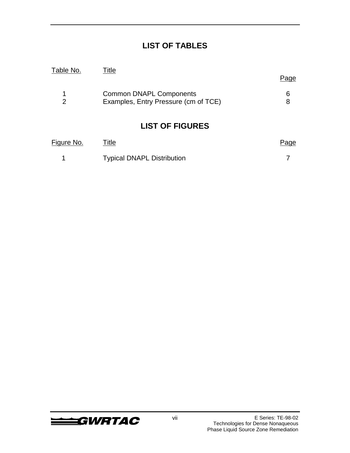### **LIST OF TABLES**

| Table No. | Title                                |      |
|-----------|--------------------------------------|------|
|           |                                      | Page |
| 1         | <b>Common DNAPL Components</b>       | 6    |
| 2         | Examples, Entry Pressure (cm of TCE) | 8    |
|           | <b>LIST OF FIGURES</b>               |      |

| Figure No. | Title                             | Page |
|------------|-----------------------------------|------|
|            | <b>Typical DNAPL Distribution</b> |      |

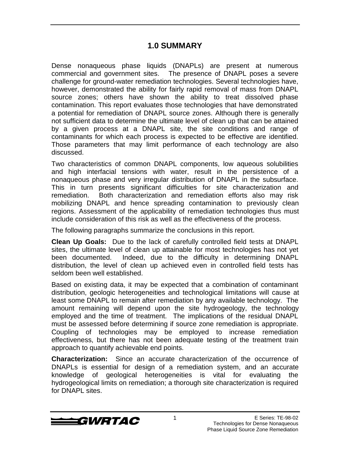#### **1.0 SUMMARY**

Dense nonaqueous phase liquids (DNAPLs) are present at numerous commercial and government sites. The presence of DNAPL poses a severe challenge for ground-water remediation technologies. Several technologies have, however, demonstrated the ability for fairly rapid removal of mass from DNAPL source zones; others have shown the ability to treat dissolved phase contamination. This report evaluates those technologies that have demonstrated a potential for remediation of DNAPL source zones. Although there is generally not sufficient data to determine the ultimate level of clean up that can be attained by a given process at a DNAPL site, the site conditions and range of contaminants for which each process is expected to be effective are identified. Those parameters that may limit performance of each technology are also discussed.

Two characteristics of common DNAPL components, low aqueous solubilities and high interfacial tensions with water, result in the persistence of a nonaqueous phase and very irregular distribution of DNAPL in the subsurface. This in turn presents significant difficulties for site characterization and remediation. Both characterization and remediation efforts also may risk mobilizing DNAPL and hence spreading contamination to previously clean regions. Assessment of the applicability of remediation technologies thus must include consideration of this risk as well as the effectiveness of the process.

The following paragraphs summarize the conclusions in this report.

**Clean Up Goals:** Due to the lack of carefully controlled field tests at DNAPL sites, the ultimate level of clean up attainable for most technologies has not yet been documented. Indeed, due to the difficulty in determining DNAPL distribution, the level of clean up achieved even in controlled field tests has seldom been well established.

Based on existing data, it may be expected that a combination of contaminant distribution, geologic heterogeneities and technological limitations will cause at least some DNAPL to remain after remediation by any available technology. The amount remaining will depend upon the site hydrogeology, the technology employed and the time of treatment. The implications of the residual DNAPL must be assessed before determining if source zone remediation is appropriate. Coupling of technologies may be employed to increase remediation effectiveness, but there has not been adequate testing of the treatment train approach to quantify achievable end points.

**Characterization:** Since an accurate characterization of the occurrence of DNAPLs is essential for design of a remediation system, and an accurate knowledge of geological heterogeneities is vital for evaluating the hydrogeological limits on remediation; a thorough site characterization is required for DNAPL sites.

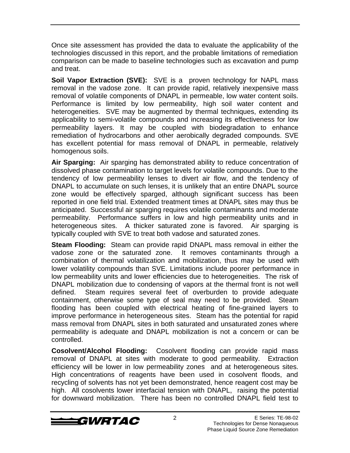Once site assessment has provided the data to evaluate the applicability of the technologies discussed in this report, and the probable limitations of remediation comparison can be made to baseline technologies such as excavation and pump and treat.

**Soil Vapor Extraction (SVE):** SVE is a proven technology for NAPL mass removal in the vadose zone. It can provide rapid, relatively inexpensive mass removal of volatile components of DNAPL in permeable, low water content soils. Performance is limited by low permeability, high soil water content and heterogeneities. SVE may be augmented by thermal techniques, extending its applicability to semi-volatile compounds and increasing its effectiveness for low permeability layers. It may be coupled with biodegradation to enhance remediation of hydrocarbons and other aerobically degraded compounds. SVE has excellent potential for mass removal of DNAPL in permeable, relatively homogenous soils.

**Air Sparging:** Air sparging has demonstrated ability to reduce concentration of dissolved phase contamination to target levels for volatile compounds. Due to the tendency of low permeability lenses to divert air flow, and the tendency of DNAPL to accumulate on such lenses, it is unlikely that an entire DNAPL source zone would be effectively sparged, although significant success has been reported in one field trial. Extended treatment times at DNAPL sites may thus be anticipated. Successful air sparging requires volatile contaminants and moderate permeability. Performance suffers in low and high permeability units and in heterogeneous sites. A thicker saturated zone is favored. Air sparging is typically coupled with SVE to treat both vadose and saturated zones.

**Steam Flooding:** Steam can provide rapid DNAPL mass removal in either the vadose zone or the saturated zone. It removes contaminants through a combination of thermal volatilization and mobilization, thus may be used with lower volatility compounds than SVE. Limitations include poorer performance in low permeability units and lower efficiencies due to heterogeneities. The risk of DNAPL mobilization due to condensing of vapors at the thermal front is not well defined. Steam requires several feet of overburden to provide adequate containment, otherwise some type of seal may need to be provided. Steam flooding has been coupled with electrical heating of fine-grained layers to improve performance in heterogeneous sites. Steam has the potential for rapid mass removal from DNAPL sites in both saturated and unsaturated zones where permeability is adequate and DNAPL mobilization is not a concern or can be controlled.

**Cosolvent/Alcohol Flooding:** Cosolvent flooding can provide rapid mass removal of DNAPL at sites with moderate to good permeability. Extraction efficiency will be lower in low permeability zones and at heterogeneous sites. High concentrations of reagents have been used in cosolvent floods, and recycling of solvents has not yet been demonstrated, hence reagent cost may be high. All cosolvents lower interfacial tension with DNAPL, raising the potential for downward mobilization. There has been no controlled DNAPL field test to

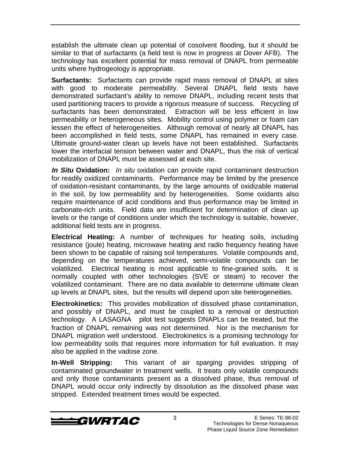establish the ultimate clean up potential of cosolvent flooding, but it should be similar to that of surfactants (a field test is now in progress at Dover AFB). The technology has excellent potential for mass removal of DNAPL from permeable units where hydrogeology is appropriate.

**Surfactants:** Surfactants can provide rapid mass removal of DNAPL at sites with good to moderate permeability. Several DNAPL field tests have demonstrated surfactant's ability to remove DNAPL, including recent tests that used partitioning tracers to provide a rigorous measure of success. Recycling of surfactants has been demonstrated. Extraction will be less efficient in low permeability or heterogeneous sites. Mobility control using polymer or foam can lessen the effect of heterogeneities. Although removal of nearly all DNAPL has been accomplished in field tests, some DNAPL has remained in every case. Ultimate ground-water clean up levels have not been established. Surfactants lower the interfacial tension between water and DNAPL, thus the risk of vertical mobilization of DNAPL must be assessed at each site.

**In Situ Oxidation:** In situ oxidation can provide rapid contaminant destruction for readily oxidized contaminants. Performance may be limited by the presence of oxidation-resistant contaminants, by the large amounts of oxidizable material in the soil, by low permeability and by heterogeneities. Some oxidants also require maintenance of acid conditions and thus performance may be limited in carbonate-rich units. Field data are insufficient for determination of clean up levels or the range of conditions under which the technology is suitable, however, additional field tests are in progress.

**Electrical Heating:** A number of techniques for heating soils, including resistance (joule) heating, microwave heating and radio frequency heating have been shown to be capable of raising soil temperatures. Volatile compounds and, depending on the temperatures achieved, semi-volatile compounds can be volatilized. Electrical heating is most applicable to fine-grained soils. It is normally coupled with other technologies (SVE or steam) to recover the volatilized contaminant. There are no data available to determine ultimate clean up levels at DNAPL sites, but the results will depend upon site heterogeneities.

**Electrokinetics:** This provides mobilization of dissolved phase contamination, and possibly of DNAPL, and must be coupled to a removal or destruction technology. A LASAGNA® pilot test suggests DNAPLs can be treated, but the fraction of DNAPL remaining was not determined. Nor is the mechanism for DNAPL migration well understood. Electrokinetics is a promising technology for low permeability soils that requires more information for full evaluation. It may also be applied in the vadose zone.

**In-Well Stripping:** This variant of air sparging provides stripping of contaminated groundwater in treatment wells. It treats only volatile compounds and only those contaminants present as a dissolved phase, thus removal of DNAPL would occur only indirectly by dissolution as the dissolved phase was stripped. Extended treatment times would be expected.

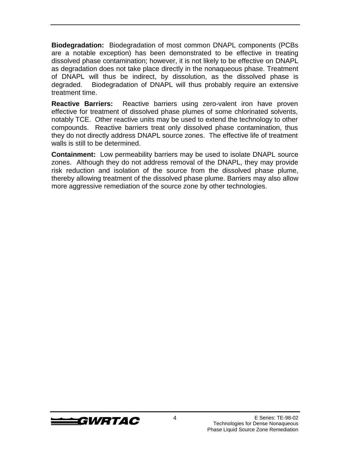**Biodegradation:** Biodegradation of most common DNAPL components (PCBs are a notable exception) has been demonstrated to be effective in treating dissolved phase contamination; however, it is not likely to be effective on DNAPL as degradation does not take place directly in the nonaqueous phase. Treatment of DNAPL will thus be indirect, by dissolution, as the dissolved phase is degraded. Biodegradation of DNAPL will thus probably require an extensive treatment time.

**Reactive Barriers:** Reactive barriers using zero-valent iron have proven effective for treatment of dissolved phase plumes of some chlorinated solvents, notably TCE. Other reactive units may be used to extend the technology to other compounds. Reactive barriers treat only dissolved phase contamination, thus they do not directly address DNAPL source zones. The effective life of treatment walls is still to be determined.

**Containment:** Low permeability barriers may be used to isolate DNAPL source zones. Although they do not address removal of the DNAPL, they may provide risk reduction and isolation of the source from the dissolved phase plume, thereby allowing treatment of the dissolved phase plume. Barriers may also allow more aggressive remediation of the source zone by other technologies.

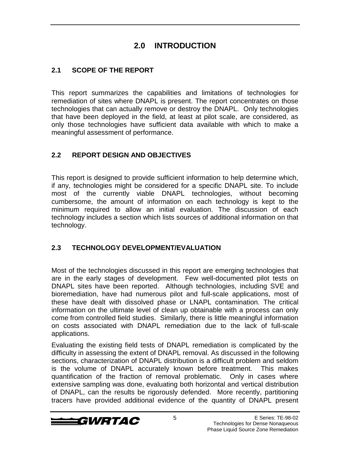### **2.0 INTRODUCTION**

#### **2.1 SCOPE OF THE REPORT**

This report summarizes the capabilities and limitations of technologies for remediation of sites where DNAPL is present. The report concentrates on those technologies that can actually remove or destroy the DNAPL. Only technologies that have been deployed in the field, at least at pilot scale, are considered, as only those technologies have sufficient data available with which to make a meaningful assessment of performance.

#### **2.2 REPORT DESIGN AND OBJECTIVES**

This report is designed to provide sufficient information to help determine which, if any, technologies might be considered for a specific DNAPL site. To include most of the currently viable DNAPL technologies, without becoming cumbersome, the amount of information on each technology is kept to the minimum required to allow an initial evaluation. The discussion of each technology includes a section which lists sources of additional information on that technology.

#### **2.3 TECHNOLOGY DEVELOPMENT/EVALUATION**

Most of the technologies discussed in this report are emerging technologies that are in the early stages of development. Few well-documented pilot tests on DNAPL sites have been reported. Although technologies, including SVE and bioremediation, have had numerous pilot and full-scale applications, most of these have dealt with dissolved phase or LNAPL contamination. The critical information on the ultimate level of clean up obtainable with a process can only come from controlled field studies. Similarly, there is little meaningful information on costs associated with DNAPL remediation due to the lack of full-scale applications.

Evaluating the existing field tests of DNAPL remediation is complicated by the difficulty in assessing the extent of DNAPL removal. As discussed in the following sections, characterization of DNAPL distribution is a difficult problem and seldom is the volume of DNAPL accurately known before treatment. This makes quantification of the fraction of removal problematic. Only in cases where extensive sampling was done, evaluating both horizontal and vertical distribution of DNAPL, can the results be rigorously defended. More recently, partitioning tracers have provided additional evidence of the quantity of DNAPL present

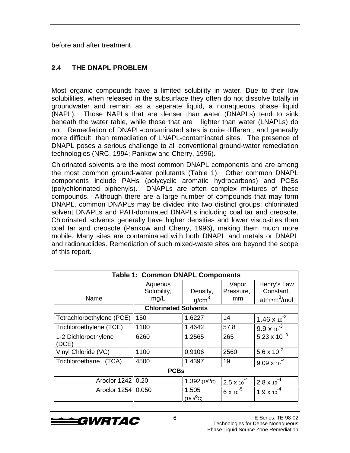before and after treatment.

#### **2.4 THE DNAPL PROBLEM**

Most organic compounds have a limited solubility in water. Due to their low solubilities, when released in the subsurface they often do not dissolve totally in groundwater and remain as a separate liquid, a nonaqueous phase liquid (NAPL). Those NAPLs that are denser than water (DNAPLs) tend to sink beneath the water table, while those that are lighter than water (LNAPLs) do not. Remediation of DNAPL-contaminated sites is quite different, and generally more difficult, than remediation of LNAPL-contaminated sites. The presence of DNAPL poses a serious challenge to all conventional ground-water remediation technologies (NRC, 1994; Pankow and Cherry, 1996).

Chlorinated solvents are the most common DNAPL components and are among the most common ground-water pollutants (Table 1). Other common DNAPL components include PAHs (polycyclic aromatic hydrocarbons) and PCBs (polychlorinated biphenyls). DNAPLs are often complex mixtures of these compounds. Although there are a large number of compounds that may form DNAPL, common DNAPLs may be divided into two distinct groups; chlorinated solvent DNAPLs and PAH-dominated DNAPLs including coal tar and creosote. Chlorinated solvents generally have higher densities and lower viscosities than coal tar and creosote (Pankow and Cherry, 1996), making them much more mobile. Many sites are contaminated with both DNAPL and metals or DNAPL and radionuclides. Remediation of such mixed-waste sites are beyond the scope of this report.

| <b>Table 1: Common DNAPL Components</b> |                                |                               |                          |                                                               |
|-----------------------------------------|--------------------------------|-------------------------------|--------------------------|---------------------------------------------------------------|
| Name                                    | Aqueous<br>Solubility,<br>mg/L | Density,<br>q/cm <sup>3</sup> | Vapor<br>Pressure,<br>mm | Henry's Law<br>Constant,<br>atm $\bullet$ m <sup>3</sup> /mol |
|                                         | <b>Chlorinated Solvents</b>    |                               |                          |                                                               |
|                                         |                                |                               |                          |                                                               |
| Tetrachloroethylene (PCE)               | 150                            | 1.6227                        | 14                       | $1.46 \times 10^{-2}$                                         |
| Trichloroethylene (TCE)                 | 1100                           | 1.4642                        | 57.8                     | $9.9 \times 10^{-3}$                                          |
| 1-2 Dichloroethylene<br>(DCE)           | 6260                           | 1.2565                        | 265                      | $5.23 \times 10^{-3}$                                         |
| Vinyl Chloride (VC)                     | 1100                           | 0.9106                        | 2560                     | $5.6 \times 10^{-2}$                                          |
| Trichloroethane<br>(TCA)                | 4500                           | 1.4397                        | 19                       | $9.09 \times 10^{-4}$                                         |
| <b>PCBs</b>                             |                                |                               |                          |                                                               |
| Aroclor 1242                            | 0.20                           | $1.392(15^{\circ}C)$          | $2.5 \times 10^{-4}$     | $2.8 \times 10^{-4}$                                          |
| Aroclor 1254   0.050                    |                                | 1.505<br>$(15.5^{O}C)$        | $6x10^{-5}$              | $1.9 \times 10^{-4}$                                          |

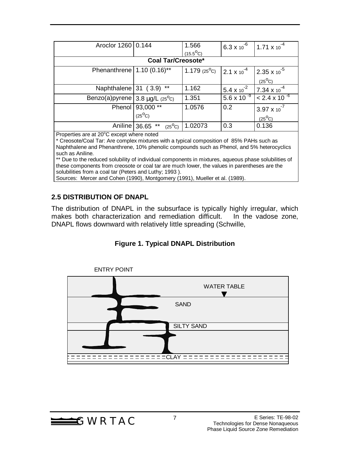| Aroclor 1260   0.144                       |                           | 1.566                 | 6.3 x 10 $^{6}$      | $1.71 \times 10^{-4}$          |
|--------------------------------------------|---------------------------|-----------------------|----------------------|--------------------------------|
|                                            |                           | $(15.5^{O}C)$         |                      |                                |
|                                            | <b>Coal Tar/Creosote*</b> |                       |                      |                                |
| Phenanthrene   $1.10 (0.16)$ <sup>**</sup> |                           | 1.179 $(25^{\circ}C)$ | $2.1 \times 10^{-4}$ | $2.35 \times 10^{-5}$          |
|                                            |                           |                       |                      | $(25^{\circ}C)$                |
| Naphthalene $ 31 (3.9) $                   | $***$                     | 1.162                 | $5.4 \times 10^{-2}$ | 7.34 $\times$ 10 <sup>-4</sup> |
| Benzo(a)pyrene $3.8$ mg/L $(25^{\circ}C)$  |                           | 1.351                 | $5.6 \times 10^{-9}$ | $< 2.4 \times 10^{-6}$         |
|                                            | Phenol   93,000 **        | 1.0576                | 0.2                  | $3.97 \times 10^{-7}$          |
|                                            | $(25^{\circ}C)$           |                       |                      | $(25^{\circ}C)$                |
| Aniline 36.65                              | $***$<br>$(25^{\circ}C)$  | 1.02073               | 0.3                  | 0.136                          |

Properties are at 20°C except where noted

\* Creosote/Coal Tar: Are complex mixtures with a typical composition of 85% PAHs such as Naphthalene and Phenanthrene, 10% phenolic compounds such as Phenol, and 5% heterocyclics such as Aniline.

\*\* Due to the reduced solubility of individual components in mixtures, aqueous phase solubilities of these components from creosote or coal tar are much lower, the values in parentheses are the solubilities from a coal tar (Peters and Luthy; 1993 ).

Sources: Mercer and Cohen (1990), Montgomery (1991), Mueller et al. (1989).

#### **2.5 DISTRIBUTION OF DNAPL**

The distribution of DNAPL in the subsurface is typically highly irregular, which makes both characterization and remediation difficult. In the vadose zone, DNAPL flows downward with relatively little spreading (Schwille,

#### **Figure 1. Typical DNAPL Distribution**



 $\triangle$ GWRTAC<sup>7</sup>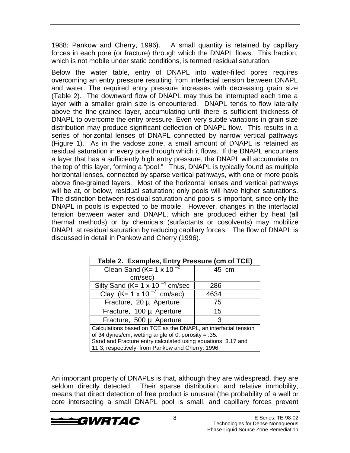1988; Pankow and Cherry, 1996). A small quantity is retained by capillary forces in each pore (or fracture) through which the DNAPL flows. This fraction, which is not mobile under static conditions, is termed residual saturation.

Below the water table, entry of DNAPL into water-filled pores requires overcoming an entry pressure resulting from interfacial tension between DNAPL and water. The required entry pressure increases with decreasing grain size (Table 2). The downward flow of DNAPL may thus be interrupted each time a layer with a smaller grain size is encountered. DNAPL tends to flow laterally above the fine-grained layer, accumulating until there is sufficient thickness of DNAPL to overcome the entry pressure. Even very subtle variations in grain size distribution may produce significant deflection of DNAPL flow. This results in a series of horizontal lenses of DNAPL connected by narrow vertical pathways (Figure 1). As in the vadose zone, a small amount of DNAPL is retained as residual saturation in every pore through which it flows. If the DNAPL encounters a layer that has a sufficiently high entry pressure, the DNAPL will accumulate on the top of this layer, forming a "pool." Thus, DNAPL is typically found as multiple horizontal lenses, connected by sparse vertical pathways, with one or more pools above fine-grained layers. Most of the horizontal lenses and vertical pathways will be at, or below, residual saturation; only pools will have higher saturations. The distinction between residual saturation and pools is important, since only the DNAPL in pools is expected to be mobile. However, changes in the interfacial tension between water and DNAPL, which are produced either by heat (all thermal methods) or by chemicals (surfactants or cosolvents) may mobilize DNAPL at residual saturation by reducing capillary forces. The flow of DNAPL is discussed in detail in Pankow and Cherry (1996).

| Table 2. Examples, Entry Pressure (cm of TCE)                  |       |  |  |  |
|----------------------------------------------------------------|-------|--|--|--|
| Clean Sand (K= $1 \times 10^{-2}$                              | 45 cm |  |  |  |
| cm/sec)                                                        |       |  |  |  |
| Silty Sand (K= $1 \times 10^{-4}$ cm/sec                       | 286   |  |  |  |
| Clay (K= 1 x 10 $^{-7}$ cm/sec)                                | 4634  |  |  |  |
| Fracture, 20 µ Aperture                                        | 75    |  |  |  |
| Fracture, 100 µ Aperture                                       | 15    |  |  |  |
| Fracture, 500 µ Aperture                                       | 3     |  |  |  |
| Calculations based on TCE as the DNAPL, an interfacial tension |       |  |  |  |
| of 34 dynes/cm, wetting angle of 0, porosity = $.35$ .         |       |  |  |  |
| Sand and Fracture entry calculated using equations 3.17 and    |       |  |  |  |
| 11.3, respectively, from Pankow and Cherry, 1996.              |       |  |  |  |

An important property of DNAPLs is that, although they are widespread, they are seldom directly detected. Their sparse distribution, and relative immobility, means that direct detection of free product is unusual (the probability of a well or core intersecting a small DNAPL pool is small, and capillary forces prevent

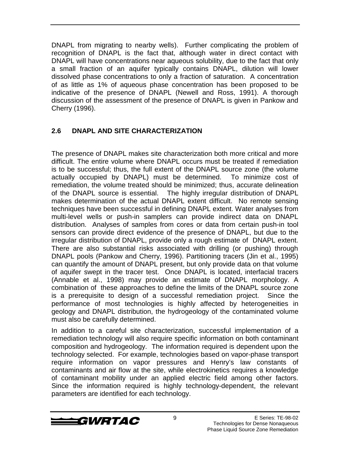DNAPL from migrating to nearby wells). Further complicating the problem of recognition of DNAPL is the fact that, although water in direct contact with DNAPL will have concentrations near aqueous solubility, due to the fact that only a small fraction of an aquifer typically contains DNAPL, dilution will lower dissolved phase concentrations to only a fraction of saturation. A concentration of as little as 1% of aqueous phase concentration has been proposed to be indicative of the presence of DNAPL (Newell and Ross, 1991). A thorough discussion of the assessment of the presence of DNAPL is given in Pankow and Cherry (1996).

#### **2.6 DNAPL AND SITE CHARACTERIZATION**

The presence of DNAPL makes site characterization both more critical and more difficult. The entire volume where DNAPL occurs must be treated if remediation is to be successful; thus, the full extent of the DNAPL source zone (the volume actually occupied by DNAPL) must be determined. To minimize cost of remediation, the volume treated should be minimized; thus, accurate delineation of the DNAPL source is essential. The highly irregular distribution of DNAPL makes determination of the actual DNAPL extent difficult. No remote sensing techniques have been successful in defining DNAPL extent. Water analyses from multi-level wells or push-in samplers can provide indirect data on DNAPL distribution. Analyses of samples from cores or data from certain push-in tool sensors can provide direct evidence of the presence of DNAPL, but due to the irregular distribution of DNAPL, provide only a rough estimate of DNAPL extent. There are also substantial risks associated with drilling (or pushing) through DNAPL pools (Pankow and Cherry, 1996). Partitioning tracers (Jin et al., 1995) can quantify the amount of DNAPL present, but only provide data on that volume of aquifer swept in the tracer test. Once DNAPL is located, interfacial tracers (Annable et al., 1998) may provide an estimate of DNAPL morphology. A combination of these approaches to define the limits of the DNAPL source zone is a prerequisite to design of a successful remediation project. Since the performance of most technologies is highly affected by heterogeneities in geology and DNAPL distribution, the hydrogeology of the contaminated volume must also be carefully determined.

In addition to a careful site characterization, successful implementation of a remediation technology will also require specific information on both contaminant composition and hydrogeology. The information required is dependent upon the technology selected. For example, technologies based on vapor-phase transport require information on vapor pressures and Henry's law constants of contaminants and air flow at the site, while electrokinetics requires a knowledge of contaminant mobility under an applied electric field among other factors. Since the information required is highly technology-dependent, the relevant parameters are identified for each technology.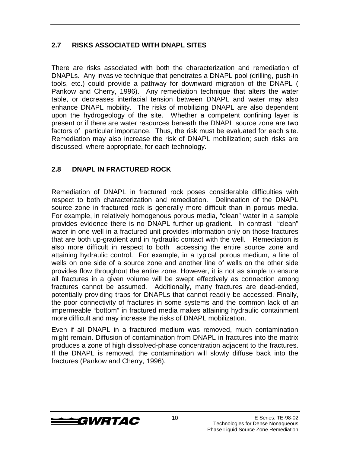#### **2.7 RISKS ASSOCIATED WITH DNAPL SITES**

There are risks associated with both the characterization and remediation of DNAPLs. Any invasive technique that penetrates a DNAPL pool (drilling, push-in tools, etc.) could provide a pathway for downward migration of the DNAPL ( Pankow and Cherry, 1996). Any remediation technique that alters the water table, or decreases interfacial tension between DNAPL and water may also enhance DNAPL mobility. The risks of mobilizing DNAPL are also dependent upon the hydrogeology of the site. Whether a competent confining layer is present or if there are water resources beneath the DNAPL source zone are two factors of particular importance. Thus, the risk must be evaluated for each site. Remediation may also increase the risk of DNAPL mobilization; such risks are discussed, where appropriate, for each technology.

#### **2.8 DNAPL IN FRACTURED ROCK**

Remediation of DNAPL in fractured rock poses considerable difficulties with respect to both characterization and remediation. Delineation of the DNAPL source zone in fractured rock is generally more difficult than in porous media. For example, in relatively homogenous porous media, "clean" water in a sample provides evidence there is no DNAPL further up-gradient. In contrast "clean" water in one well in a fractured unit provides information only on those fractures that are both up-gradient and in hydraulic contact with the well. Remediation is also more difficult in respect to both accessing the entire source zone and attaining hydraulic control. For example, in a typical porous medium, a line of wells on one side of a source zone and another line of wells on the other side provides flow throughout the entire zone. However, it is not as simple to ensure all fractures in a given volume will be swept effectively as connection among fractures cannot be assumed. Additionally, many fractures are dead-ended, potentially providing traps for DNAPLs that cannot readily be accessed. Finally, the poor connectivity of fractures in some systems and the common lack of an impermeable "bottom" in fractured media makes attaining hydraulic containment more difficult and may increase the risks of DNAPL mobilization.

Even if all DNAPL in a fractured medium was removed, much contamination might remain. Diffusion of contamination from DNAPL in fractures into the matrix produces a zone of high dissolved-phase concentration adjacent to the fractures. If the DNAPL is removed, the contamination will slowly diffuse back into the fractures (Pankow and Cherry, 1996).

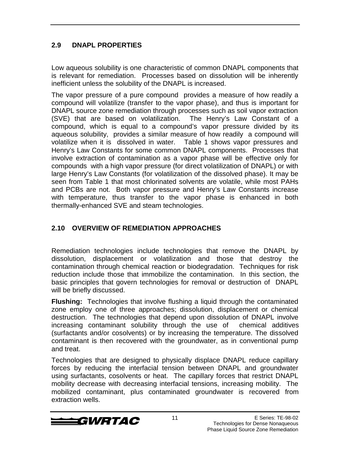#### **2.9 DNAPL PROPERTIES**

Low aqueous solubility is one characteristic of common DNAPL components that is relevant for remediation. Processes based on dissolution will be inherently inefficient unless the solubility of the DNAPL is increased.

The vapor pressure of a pure compound provides a measure of how readily a compound will volatilize (transfer to the vapor phase), and thus is important for DNAPL source zone remediation through processes such as soil vapor extraction (SVE) that are based on volatilization. The Henry's Law Constant of a compound, which is equal to a compound's vapor pressure divided by its aqueous solubility, provides a similar measure of how readily a compound will volatilize when it is dissolved in water. Table 1 shows vapor pressures and Henry's Law Constants for some common DNAPL components. Processes that involve extraction of contamination as a vapor phase will be effective only for compounds with a high vapor pressure (for direct volatilization of DNAPL) or with large Henry's Law Constants (for volatilization of the dissolved phase). It may be seen from Table 1 that most chlorinated solvents are volatile, while most PAHs and PCBs are not. Both vapor pressure and Henry's Law Constants increase with temperature, thus transfer to the vapor phase is enhanced in both thermally-enhanced SVE and steam technologies.

#### **2.10 OVERVIEW OF REMEDIATION APPROACHES**

Remediation technologies include technologies that remove the DNAPL by dissolution, displacement or volatilization and those that destroy the contamination through chemical reaction or biodegradation. Techniques for risk reduction include those that immobilize the contamination. In this section, the basic principles that govern technologies for removal or destruction of DNAPL will be briefly discussed.

**Flushing:** Technologies that involve flushing a liquid through the contaminated zone employ one of three approaches; dissolution, displacement or chemical destruction. The technologies that depend upon dissolution of DNAPL involve increasing contaminant solubility through the use of chemical additives (surfactants and/or cosolvents) or by increasing the temperature. The dissolved contaminant is then recovered with the groundwater, as in conventional pump and treat.

Technologies that are designed to physically displace DNAPL reduce capillary forces by reducing the interfacial tension between DNAPL and groundwater using surfactants, cosolvents or heat. The capillary forces that restrict DNAPL mobility decrease with decreasing interfacial tensions, increasing mobility. The mobilized contaminant, plus contaminated groundwater is recovered from extraction wells.

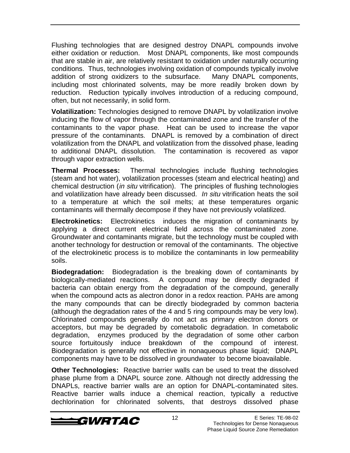Flushing technologies that are designed destroy DNAPL compounds involve either oxidation or reduction. Most DNAPL components, like most compounds that are stable in air, are relatively resistant to oxidation under naturally occurring conditions. Thus, technologies involving oxidation of compounds typically involve addition of strong oxidizers to the subsurface. Many DNAPL components, including most chlorinated solvents, may be more readily broken down by reduction. Reduction typically involves introduction of a reducing compound, often, but not necessarily, in solid form.

**Volatilization:** Technologies designed to remove DNAPL by volatilization involve inducing the flow of vapor through the contaminated zone and the transfer of the contaminants to the vapor phase. Heat can be used to increase the vapor pressure of the contaminants. DNAPL is removed by a combination of direct volatilization from the DNAPL and volatilization from the dissolved phase, leading to additional DNAPL dissolution. The contamination is recovered as vapor through vapor extraction wells.

**Thermal Processes:** Thermal technologies include flushing technologies (steam and hot water), volatilization processes (steam and electrical heating) and chemical destruction *(in situ vitrification)*. The principles of flushing technologies and volatilization have already been discussed. In situ vitrification heats the soil to a temperature at which the soil melts; at these temperatures organic contaminants will thermally decompose if they have not previously volatilized.

**Electrokinetics:** Electrokinetics induces the migration of contaminants by applying a direct current electrical field across the contaminated zone. Groundwater and contaminants migrate, but the technology must be coupled with another technology for destruction or removal of the contaminants. The objective of the electrokinetic process is to mobilize the contaminants in low permeability soils.

**Biodegradation:** Biodegradation is the breaking down of contaminants by biologically-mediated reactions. A compound may be directly degraded if bacteria can obtain energy from the degradation of the compound, generally when the compound acts as alectron donor in a redox reaction. PAHs are among the many compounds that can be directly biodegraded by common bacteria (although the degradation rates of the 4 and 5 ring compounds may be very low). Chlorinated compounds generally do not act as primary electron donors or acceptors, but may be degraded by cometabolic degradation. In cometabolic degradation, enzymes produced by the degradation of some other carbon source fortuitously induce breakdown of the compound of interest. Biodegradation is generally not effective in nonaqueous phase liquid; DNAPL components may have to be dissolved in groundwater to become bioavailable.

**Other Technologies:** Reactive barrier walls can be used to treat the dissolved phase plume from a DNAPL source zone. Although not directly addressing the DNAPLs, reactive barrier walls are an option for DNAPL-contaminated sites. Reactive barrier walls induce a chemical reaction, typically a reductive dechlorination for chlorinated solvents, that destroys dissolved phase

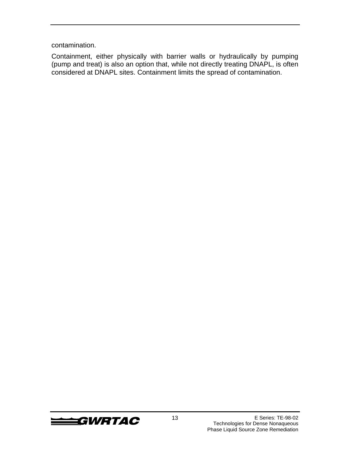contamination.

Containment, either physically with barrier walls or hydraulically by pumping (pump and treat) is also an option that, while not directly treating DNAPL, is often considered at DNAPL sites. Containment limits the spread of contamination.

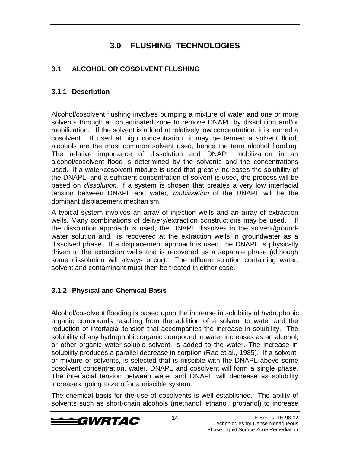# **3.0 FLUSHING TECHNOLOGIES**

### **3.1 ALCOHOL OR COSOLVENT FLUSHING**

#### **3.1.1 Description**

Alcohol/cosolvent flushing involves pumping a mixture of water and one or more solvents through a contaminated zone to remove DNAPL by dissolution and/or mobilization. If the solvent is added at relatively low concentration, it is termed a cosolvent. If used at high concentration, it may be termed a solvent flood; alcohols are the most common solvent used, hence the term alcohol flooding. The relative importance of dissolution and DNAPL mobilization in an alcohol/cosolvent flood is determined by the solvents and the concentrations used. If a water/cosolvent mixture is used that greatly increases the solubility of the DNAPL, and a sufficient concentration of solvent is used, the process will be based on dissolution. If a system is chosen that creates a very low interfacial tension between DNAPL and water, mobilization of the DNAPL will be the dominant displacement mechanism.

A typical system involves an array of injection wells and an array of extraction wells. Many combinations of delivery/extraction constructions may be used. If the dissolution approach is used, the DNAPL dissolves in the solvent/groundwater solution and is recovered at the extraction wells in groundwater as a dissolved phase. If a displacement approach is used, the DNAPL is physically driven to the extraction wells and is recovered as a separate phase (although some dissolution will always occur). The effluent solution containing water, solvent and contaminant must then be treated in either case.

#### **3.1.2 Physical and Chemical Basis**

Alcohol/cosolvent flooding is based upon the increase in solubility of hydrophobic organic compounds resulting from the addition of a solvent to water and the reduction of interfacial tension that accompanies the increase in solubility. The solubility of any hydrophobic organic compound in water increases as an alcohol, or other organic water-soluble solvent, is added to the water. The increase in solubility produces a parallel decrease in sorption (Rao et al., 1985). If a solvent, or mixture of solvents, is selected that is miscible with the DNAPL above some cosolvent concentration, water, DNAPL and cosolvent will form a single phase. The interfacial tension between water and DNAPL will decrease as solubility increases, going to zero for a miscible system.

The chemical basis for the use of cosolvents is well established. The ability of solvents such as short-chain alcohols (methanol, ethanol, propanol) to increase

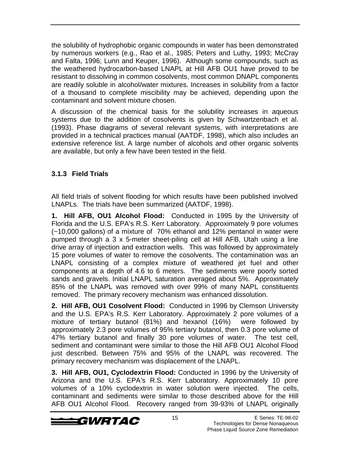the solubility of hydrophobic organic compounds in water has been demonstrated by numerous workers (e.g., Rao et al., 1985; Peters and Luthy, 1993; McCray and Falta, 1996; Lunn and Keuper, 1996). Although some compounds, such as the weathered hydrocarbon-based LNAPL at Hill AFB OU1 have proved to be resistant to dissolving in common cosolvents, most common DNAPL components are readily soluble in alcohol/water mixtures. Increases in solubility from a factor of a thousand to complete miscibility may be achieved, depending upon the contaminant and solvent mixture chosen.

A discussion of the chemical basis for the solubility increases in aqueous systems due to the addition of cosolvents is given by Schwartzenbach et al. (1993). Phase diagrams of several relevant systems, with interpretations are provided in a technical practices manual (AATDF, 1998), which also includes an extensive reference list. A large number of alcohols and other organic solvents are available, but only a few have been tested in the field.

#### **3.1.3 Field Trials**

All field trials of solvent flooding for which results have been published involved LNAPLs. The trials have been summarized (AATDF, 1998).

**1. Hill AFB, OU1 Alcohol Flood:** Conducted in 1995 by the University of Florida and the U.S. EPA's R.S. Kerr Laboratory. Approximately 9 pore volumes (~10,000 gallons) of a mixture of 70% ethanol and 12% pentanol in water were pumped through a 3 x 5-meter sheet-piling cell at Hill AFB, Utah using a line drive array of injection and extraction wells. This was followed by approximately 15 pore volumes of water to remove the cosolvents. The contamination was an LNAPL consisting of a complex mixture of weathered jet fuel and other components at a depth of 4.6 to 6 meters. The sediments were poorly sorted sands and gravels. Initial LNAPL saturation averaged about 5%. Approximately 85% of the LNAPL was removed with over 99% of many NAPL constituents removed. The primary recovery mechanism was enhanced dissolution.

**2. Hill AFB, OU1 Cosolvent Flood:** Conducted in 1996 by Clemson University and the U.S. EPA's R.S. Kerr Laboratory. Approximately 2 pore volumes of a mixture of tertiary butanol (81%) and hexanol (16%) were followed by approximately 2.3 pore volumes of 95% tertiary butanol, then 0.3 pore volume of 47% tertiary butanol and finally 30 pore volumes of water. The test cell, sediment and contaminant were similar to those the Hill AFB OU1 Alcohol Flood just described. Between 75% and 95% of the LNAPL was recovered. The primary recovery mechanism was displacement of the LNAPL.

**3. Hill AFB, OU1, Cyclodextrin Flood:** Conducted in 1996 by the University of Arizona and the U.S. EPA's R.S. Kerr Laboratory. Approximately 10 pore volumes of a 10% cyclodextrin in water solution were injected. The cells, contaminant and sediments were similar to those described above for the Hill AFB OU1 Alcohol Flood. Recovery ranged from 39-93% of LNAPL originally

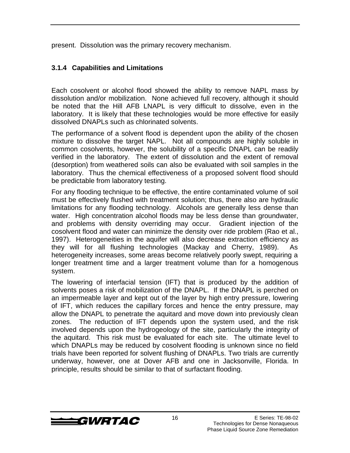present. Dissolution was the primary recovery mechanism.

#### **3.1.4 Capabilities and Limitations**

Each cosolvent or alcohol flood showed the ability to remove NAPL mass by dissolution and/or mobilization. None achieved full recovery, although it should be noted that the Hill AFB LNAPL is very difficult to dissolve, even in the laboratory. It is likely that these technologies would be more effective for easily dissolved DNAPLs such as chlorinated solvents.

The performance of a solvent flood is dependent upon the ability of the chosen mixture to dissolve the target NAPL. Not all compounds are highly soluble in common cosolvents, however, the solubility of a specific DNAPL can be readily verified in the laboratory. The extent of dissolution and the extent of removal (desorption) from weathered soils can also be evaluated with soil samples in the laboratory. Thus the chemical effectiveness of a proposed solvent flood should be predictable from laboratory testing.

For any flooding technique to be effective, the entire contaminated volume of soil must be effectively flushed with treatment solution; thus, there also are hydraulic limitations for any flooding technology. Alcohols are generally less dense than water. High concentration alcohol floods may be less dense than groundwater, and problems with density overriding may occur. Gradient injection of the cosolvent flood and water can minimize the density over ride problem (Rao et al., 1997). Heterogeneities in the aquifer will also decrease extraction efficiency as they will for all flushing technologies (Mackay and Cherry, 1989). As heterogeneity increases, some areas become relatively poorly swept, requiring a longer treatment time and a larger treatment volume than for a homogenous system.

The lowering of interfacial tension (IFT) that is produced by the addition of solvents poses a risk of mobilization of the DNAPL. If the DNAPL is perched on an impermeable layer and kept out of the layer by high entry pressure, lowering of IFT, which reduces the capillary forces and hence the entry pressure, may allow the DNAPL to penetrate the aquitard and move down into previously clean zones. The reduction of IFT depends upon the system used, and the risk involved depends upon the hydrogeology of the site, particularly the integrity of the aquitard. This risk must be evaluated for each site. The ultimate level to which DNAPLs may be reduced by cosolvent flooding is unknown since no field trials have been reported for solvent flushing of DNAPLs. Two trials are currently underway, however, one at Dover AFB and one in Jacksonville, Florida. In principle, results should be similar to that of surfactant flooding.

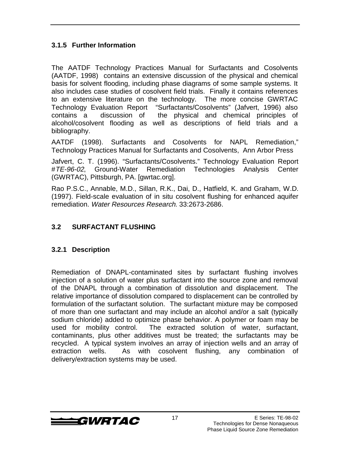#### **3.1.5 Further Information**

The AATDF Technology Practices Manual for Surfactants and Cosolvents (AATDF, 1998) contains an extensive discussion of the physical and chemical basis for solvent flooding, including phase diagrams of some sample systems. It also includes case studies of cosolvent field trials. Finally it contains references to an extensive literature on the technology. The more concise GWRTAC Technology Evaluation Report "Surfactants/Cosolvents" (Jafvert, 1996) also contains a discussion of the physical and chemical principles of alcohol/cosolvent flooding as well as descriptions of field trials and a bibliography.

AATDF (1998). Surfactants and Cosolvents for NAPL Remediation," Technology Practices Manual for Surfactants and Cosolvents, Ann Arbor Press

Jafvert, C. T. (1996). "Surfactants/Cosolvents." Technology Evaluation Report #TE-96-02, Ground-Water Remediation Technologies Analysis Center (GWRTAC), Pittsburgh, PA. [gwrtac.org].

Rao P.S.C., Annable, M.D., Sillan, R.K., Dai, D., Hatfield, K. and Graham, W.D. (1997). Field-scale evaluation of in situ cosolvent flushing for enhanced aquifer remediation. Water Resources Research. 33:2673-2686.

#### **3.2 SURFACTANT FLUSHING**

#### **3.2.1 Description**

Remediation of DNAPL-contaminated sites by surfactant flushing involves injection of a solution of water plus surfactant into the source zone and removal of the DNAPL through a combination of dissolution and displacement. The relative importance of dissolution compared to displacement can be controlled by formulation of the surfactant solution. The surfactant mixture may be composed of more than one surfactant and may include an alcohol and/or a salt (typically sodium chloride) added to optimize phase behavior. A polymer or foam may be used for mobility control. The extracted solution of water, surfactant, contaminants, plus other additives must be treated; the surfactants may be recycled. A typical system involves an array of injection wells and an array of extraction wells. As with cosolvent flushing, any combination of delivery/extraction systems may be used.

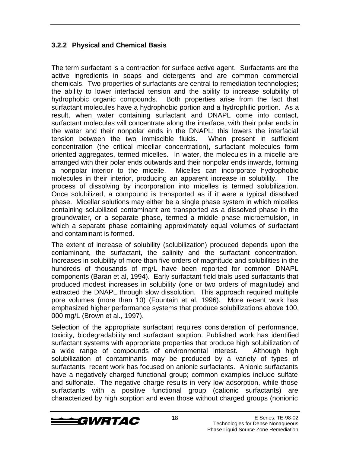#### **3.2.2 Physical and Chemical Basis**

The term surfactant is a contraction for surface active agent. Surfactants are the active ingredients in soaps and detergents and are common commercial chemicals. Two properties of surfactants are central to remediation technologies; the ability to lower interfacial tension and the ability to increase solubility of hydrophobic organic compounds. Both properties arise from the fact that surfactant molecules have a hydrophobic portion and a hydrophilic portion. As a result, when water containing surfactant and DNAPL come into contact, surfactant molecules will concentrate along the interface, with their polar ends in the water and their nonpolar ends in the DNAPL; this lowers the interfacial tension between the two immiscible fluids. When present in sufficient concentration (the critical micellar concentration), surfactant molecules form oriented aggregates, termed micelles. In water, the molecules in a micelle are arranged with their polar ends outwards and their nonpolar ends inwards, forming a nonpolar interior to the micelle. Micelles can incorporate hydrophobic molecules in their interior, producing an apparent increase in solubility. The process of dissolving by incorporation into micelles is termed solubilization. Once solubilized, a compound is transported as if it were a typical dissolved phase. Micellar solutions may either be a single phase system in which micelles containing solubilized contaminant are transported as a dissolved phase in the groundwater, or a separate phase, termed a middle phase microemulsion, in which a separate phase containing approximately equal volumes of surfactant and contaminant is formed.

The extent of increase of solubility (solubilization) produced depends upon the contaminant, the surfactant, the salinity and the surfactant concentration. Increases in solubility of more than five orders of magnitude and solubilities in the hundreds of thousands of mg/L have been reported for common DNAPL components (Baran et al, 1994). Early surfactant field trials used surfactants that produced modest increases in solubility (one or two orders of magnitude) and extracted the DNAPL through slow dissolution. This approach required multiple pore volumes (more than 10) (Fountain et al, 1996). More recent work has emphasized higher performance systems that produce solubilizations above 100, 000 mg/L (Brown et al., 1997).

Selection of the appropriate surfactant requires consideration of performance, toxicity, biodegradability and surfactant sorption. Published work has identified surfactant systems with appropriate properties that produce high solubilization of a wide range of compounds of environmental interest. Although high solubilization of contaminants may be produced by a variety of types of surfactants, recent work has focused on anionic surfactants. Anionic surfactants have a negatively charged functional group; common examples include sulfate and sulfonate. The negative charge results in very low adsorption, while those surfactants with a positive functional group (cationic surfactants) are characterized by high sorption and even those without charged groups (nonionic

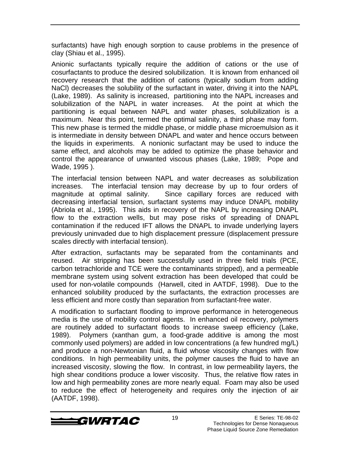surfactants) have high enough sorption to cause problems in the presence of clay (Shiau et al., 1995).

Anionic surfactants typically require the addition of cations or the use of cosurfactants to produce the desired solubilization. It is known from enhanced oil recovery research that the addition of cations (typically sodium from adding NaCl) decreases the solubility of the surfactant in water, driving it into the NAPL (Lake, 1989). As salinity is increased, partitioning into the NAPL increases and solubilization of the NAPL in water increases. At the point at which the partitioning is equal between NAPL and water phases, solubilization is a maximum. Near this point, termed the optimal salinity, a third phase may form. This new phase is termed the middle phase, or middle phase microemulsion as it is intermediate in density between DNAPL and water and hence occurs between the liquids in experiments. A nonionic surfactant may be used to induce the same effect, and alcohols may be added to optimize the phase behavior and control the appearance of unwanted viscous phases (Lake, 1989; Pope and Wade, 1995 ).

The interfacial tension between NAPL and water decreases as solubilization increases. The interfacial tension may decrease by up to four orders of magnitude at optimal salinity. Since capillary forces are reduced with decreasing interfacial tension, surfactant systems may induce DNAPL mobility (Abriola et al., 1995). This aids in recovery of the NAPL by increasing DNAPL flow to the extraction wells, but may pose risks of spreading of DNAPL contamination if the reduced IFT allows the DNAPL to invade underlying layers previously uninvaded due to high displacement pressure (displacement pressure scales directly with interfacial tension).

After extraction, surfactants may be separated from the contaminants and reused. Air stripping has been successfully used in three field trials (PCE, carbon tetrachloride and TCE were the contaminants stripped), and a permeable membrane system using solvent extraction has been developed that could be used for non-volatile compounds (Harwell, cited in AATDF, 1998). Due to the enhanced solubility produced by the surfactants, the extraction processes are less efficient and more costly than separation from surfactant-free water.

A modification to surfactant flooding to improve performance in heterogeneous media is the use of mobility control agents. In enhanced oil recovery, polymers are routinely added to surfactant floods to increase sweep efficiency (Lake, 1989). Polymers (xanthan gum, a food-grade additive is among the most commonly used polymers) are added in low concentrations (a few hundred mg/L) and produce a non-Newtonian fluid, a fluid whose viscosity changes with flow conditions. In high permeability units, the polymer causes the fluid to have an increased viscosity, slowing the flow. In contrast, in low permeability layers, the high shear conditions produce a lower viscosity. Thus, the relative flow rates in low and high permeability zones are more nearly equal. Foam may also be used to reduce the effect of heterogeneity and requires only the injection of air (AATDF, 1998).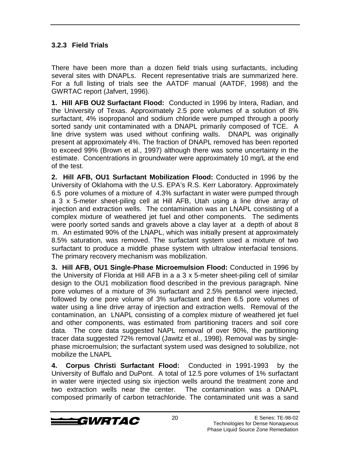#### **3.2.3 Field Trials**

There have been more than a dozen field trials using surfactants, including several sites with DNAPLs. Recent representative trials are summarized here. For a full listing of trials see the AATDF manual (AATDF, 1998) and the GWRTAC report (Jafvert, 1996).

**1. Hill AFB OU2 Surfactant Flood:** Conducted in 1996 by Intera, Radian, and the University of Texas. Approximately 2.5 pore volumes of a solution of 8% surfactant, 4% isopropanol and sodium chloride were pumped through a poorly sorted sandy unit contaminated with a DNAPL primarily composed of TCE. A line drive system was used without confining walls. DNAPL was originally present at approximately 4%. The fraction of DNAPL removed has been reported to exceed 99% (Brown et al., 1997) although there was some uncertainty in the estimate. Concentrations in groundwater were approximately 10 mg/L at the end of the test.

**2. Hill AFB, OU1 Surfactant Mobilization Flood:** Conducted in 1996 by the University of Oklahoma with the U.S. EPA's R.S. Kerr Laboratory. Approximately 6.5 pore volumes of a mixture of 4.3% surfactant in water were pumped through a 3 x 5-meter sheet-piling cell at Hill AFB, Utah using a line drive array of injection and extraction wells. The contamination was an LNAPL consisting of a complex mixture of weathered jet fuel and other components. The sediments were poorly sorted sands and gravels above a clay layer at a depth of about 8 m. An estimated 90% of the LNAPL, which was initially present at approximately 8.5% saturation, was removed. The surfactant system used a mixture of two surfactant to produce a middle phase system with ultralow interfacial tensions. The primary recovery mechanism was mobilization.

**3. Hill AFB, OU1 Single-Phase Microemulsion Flood:** Conducted in 1996 by the University of Florida at Hill AFB in a a 3 x 5-meter sheet-piling cell of similar design to the OU1 mobilization flood described in the previous paragraph. Nine pore volumes of a mixture of 3% surfactant and 2.5% pentanol were injected, followed by one pore volume of 3% surfactant and then 6.5 pore volumes of water using a line drive array of injection and extraction wells. Removal of the contamination, an LNAPL consisting of a complex mixture of weathered jet fuel and other components, was estimated from partitioning tracers and soil core data. The core data suggested NAPL removal of over 90%, the partitioning tracer data suggested 72% removal (Jawitz et al., 1998). Removal was by singlephase microemulsion; the surfactant system used was designed to solubilize, not mobilize the LNAPL

**4. Corpus Christi Surfactant Flood:** Conducted in 1991-1993 by the University of Buffalo and DuPont. A total of 12.5 pore volumes of 1% surfactant in water were injected using six injection wells around the treatment zone and two extraction wells near the center. The contamination was a DNAPL composed primarily of carbon tetrachloride. The contaminated unit was a sand

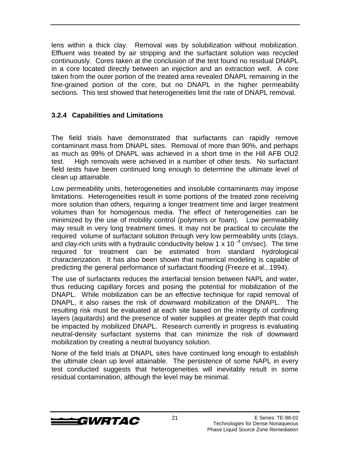lens within a thick clay. Removal was by solubilization without mobilization. Effluent was treated by air stripping and the surfactant solution was recycled continuously. Cores taken at the conclusion of the test found no residual DNAPL in a core located directly between an injection and an extraction well. A core taken from the outer portion of the treated area revealed DNAPL remaining in the fine-grained portion of the core, but no DNAPL in the higher permeability sections. This test showed that heterogeneities limit the rate of DNAPL removal.

#### **3.2.4 Capabilities and Limitations**

The field trials have demonstrated that surfactants can rapidly remove contaminant mass from DNAPL sites. Removal of more than 90%, and perhaps as much as 99% of DNAPL was achieved in a short time in the Hill AFB OU2 test. High removals were achieved in a number of other tests. No surfactant field tests have been continued long enough to determine the ultimate level of clean up attainable.

Low permeability units, heterogeneities and insoluble contaminants may impose limitations. Heterogeneities result in some portions of the treated zone receiving more solution than others, requiring a longer treatment time and larger treatment volumes than for homogenous media. The effect of heterogeneities can be minimized by the use of mobility control (polymers or foam). Low permeability may result in very long treatment times. It may not be practical to circulate the required volume of surfactant solution through very low permeability units (clays, and clay-rich units with a hydraulic conductivity below 1 x 10<sup>-4</sup> cm/sec). The time required for treatment can be estimated from standard hydrological characterization. It has also been shown that numerical modeling is capable of predicting the general performance of surfactant flooding (Freeze et al., 1994).

The use of surfactants reduces the interfacial tension between NAPL and water, thus reducing capillary forces and posing the potential for mobilization of the DNAPL. While mobilization can be an effective technique for rapid removal of DNAPL, it also raises the risk of downward mobilization of the DNAPL. The resulting risk must be evaluated at each site based on the integrity of confining layers (aquitards) and the presence of water supplies at greater depth that could be impacted by mobilized DNAPL. Research currently in progress is evaluating neutral-density surfactant systems that can minimize the risk of downward mobilization by creating a neutral buoyancy solution.

None of the field trials at DNAPL sites have continued long enough to establish the ultimate clean up level attainable. The persistence of some NAPL in every test conducted suggests that heterogeneities will inevitably result in some residual contamination, although the level may be minimal.

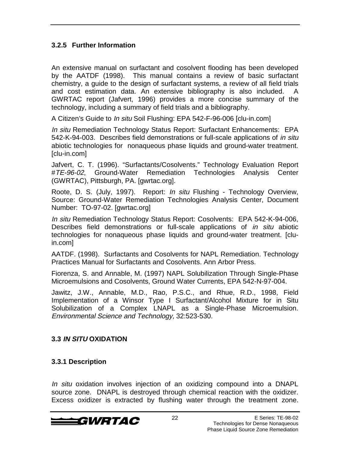#### **3.2.5 Further Information**

An extensive manual on surfactant and cosolvent flooding has been developed by the AATDF (1998). This manual contains a review of basic surfactant chemistry, a guide to the design of surfactant systems, a review of all field trials and cost estimation data. An extensive bibliography is also included. A GWRTAC report (Jafvert, 1996) provides a more concise summary of the technology, including a summary of field trials and a bibliography.

A Citizen's Guide to *In situ* Soil Flushing: EPA 542-F-96-006 [clu-in.com]

In situ Remediation Technology Status Report: Surfactant Enhancements: EPA 542-K-94-003. Describes field demonstrations or full-scale applications of in situ abiotic technologies for nonaqueous phase liquids and ground-water treatment. [clu-in.com]

Jafvert, C. T. (1996). "Surfactants/Cosolvents." Technology Evaluation Report #TE-96-02, Ground-Water Remediation Technologies Analysis Center (GWRTAC), Pittsburgh, PA. [gwrtac.org].

Roote, D. S. (July, 1997). Report: In situ Flushing - Technology Overview, Source: Ground-Water Remediation Technologies Analysis Center, Document Number: TO-97-02. [gwrtac.org]

In situ Remediation Technology Status Report: Cosolvents: EPA 542-K-94-006, Describes field demonstrations or full-scale applications of *in situ* abiotic technologies for nonaqueous phase liquids and ground-water treatment. [cluin.com]

AATDF. (1998). Surfactants and Cosolvents for NAPL Remediation. Technology Practices Manual for Surfactants and Cosolvents. Ann Arbor Press.

Fiorenza, S. and Annable, M. (1997) NAPL Solubilization Through Single-Phase Microemulsions and Cosolvents, Ground Water Currents, EPA 542-N-97-004.

Jawitz, J.W., Annable, M.D., Rao, P.S.C., and Rhue, R.D., 1998, Field Implementation of a Winsor Type I Surfactant/Alcohol Mixture for in Situ Solubilization of a Complex LNAPL as a Single-Phase Microemulsion. Environmental Science and Technology, 32:523-530.

#### **3.3 IN SITU OXIDATION**

#### **3.3.1 Description**

In situ oxidation involves injection of an oxidizing compound into a DNAPL source zone. DNAPL is destroyed through chemical reaction with the oxidizer. Excess oxidizer is extracted by flushing water through the treatment zone.

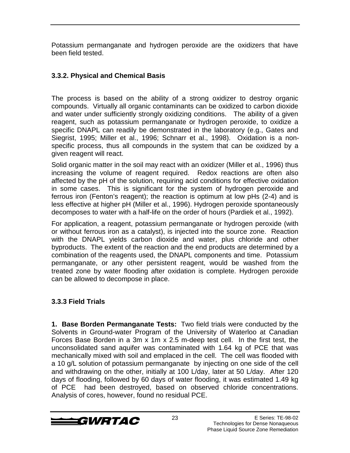Potassium permanganate and hydrogen peroxide are the oxidizers that have been field tested.

#### **3.3.2. Physical and Chemical Basis**

The process is based on the ability of a strong oxidizer to destroy organic compounds. Virtually all organic contaminants can be oxidized to carbon dioxide and water under sufficiently strongly oxidizing conditions. The ability of a given reagent, such as potassium permanganate or hydrogen peroxide, to oxidize a specific DNAPL can readily be demonstrated in the laboratory (e.g., Gates and Siegrist, 1995; Miller et al., 1996; Schnarr et al., 1998). Oxidation is a nonspecific process, thus all compounds in the system that can be oxidized by a given reagent will react.

Solid organic matter in the soil may react with an oxidizer (Miller et al., 1996) thus increasing the volume of reagent required. Redox reactions are often also affected by the pH of the solution, requiring acid conditions for effective oxidation in some cases. This is significant for the system of hydrogen peroxide and ferrous iron (Fenton's reagent); the reaction is optimum at low pHs (2-4) and is less effective at higher pH (Miller et al., 1996). Hydrogen peroxide spontaneously decomposes to water with a half-life on the order of hours (Pardiek et al., 1992).

For application, a reagent, potassium permanganate or hydrogen peroxide (with or without ferrous iron as a catalyst), is injected into the source zone. Reaction with the DNAPL yields carbon dioxide and water, plus chloride and other byproducts. The extent of the reaction and the end products are determined by a combination of the reagents used, the DNAPL components and time. Potassium permanganate, or any other persistent reagent, would be washed from the treated zone by water flooding after oxidation is complete. Hydrogen peroxide can be allowed to decompose in place.

#### **3.3.3 Field Trials**

**1. Base Borden Permanganate Tests:** Two field trials were conducted by the Solvents in Ground-water Program of the University of Waterloo at Canadian Forces Base Borden in a 3m x 1m x 2.5 m-deep test cell. In the first test, the unconsolidated sand aquifer was contaminated with 1.64 kg of PCE that was mechanically mixed with soil and emplaced in the cell. The cell was flooded with a 10 g/L solution of potassium permanganate by injecting on one side of the cell and withdrawing on the other, initially at 100 L/day, later at 50 L/day. After 120 days of flooding, followed by 60 days of water flooding, it was estimated 1.49 kg of PCE had been destroyed, based on observed chloride concentrations. Analysis of cores, however, found no residual PCE.

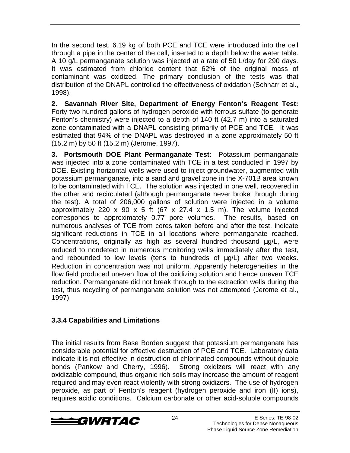In the second test, 6.19 kg of both PCE and TCE were introduced into the cell through a pipe in the center of the cell, inserted to a depth below the water table. A 10 g/L permanganate solution was injected at a rate of 50 L/day for 290 days. It was estimated from chloride content that 62% of the original mass of contaminant was oxidized. The primary conclusion of the tests was that distribution of the DNAPL controlled the effectiveness of oxidation (Schnarr et al., 1998).

**2. Savannah River Site, Department of Energy Fenton's Reagent Test:** Forty two hundred gallons of hydrogen peroxide with ferrous sulfate (to generate Fenton's chemistry) were injected to a depth of 140 ft (42.7 m) into a saturated zone contaminated with a DNAPL consisting primarily of PCE and TCE. It was estimated that 94% of the DNAPL was destroyed in a zone approximately 50 ft (15.2 m) by 50 ft (15.2 m) (Jerome, 1997).

**3. Portsmouth DOE Plant Permanganate Test:** Potassium permanganate was injected into a zone contaminated with TCE in a test conducted in 1997 by DOE. Existing horizontal wells were used to inject groundwater, augmented with potassium permanganate, into a sand and gravel zone in the X-701B area known to be contaminated with TCE. The solution was injected in one well, recovered in the other and recirculated (although permanganate never broke through during the test). A total of 206,000 gallons of solution were injected in a volume approximately 220 x 90 x 5 ft (67 x 27.4 x 1.5 m). The volume injected corresponds to approximately 0.77 pore volumes. The results, based on numerous analyses of TCE from cores taken before and after the test, indicate significant reductions in TCE in all locations where permanganate reached. Concentrations, originally as high as several hundred thousand µg/L, were reduced to nondetect in numerous monitoring wells immediately after the test, and rebounded to low levels (tens to hundreds of  $\mu$ g/L) after two weeks. Reduction in concentration was not uniform. Apparently heterogeneities in the flow field produced uneven flow of the oxidizing solution and hence uneven TCE reduction. Permanganate did not break through to the extraction wells during the test, thus recycling of permanganate solution was not attempted (Jerome et al., 1997)

#### **3.3.4 Capabilities and Limitations**

The initial results from Base Borden suggest that potassium permanganate has considerable potential for effective destruction of PCE and TCE. Laboratory data indicate it is not effective in destruction of chlorinated compounds without double bonds (Pankow and Cherry, 1996). Strong oxidizers will react with any oxidizable compound, thus organic rich soils may increase the amount of reagent required and may even react violently with strong oxidizers. The use of hydrogen peroxide, as part of Fenton's reagent (hydrogen peroxide and iron (II) ions), requires acidic conditions. Calcium carbonate or other acid-soluble compounds

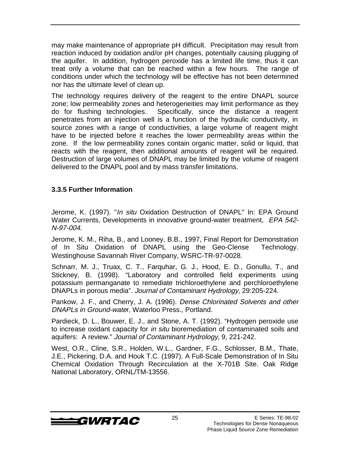may make maintenance of appropriate pH difficult. Precipitation may result from reaction induced by oxidation and/or pH changes, potentially causing plugging of the aquifer. In addition, hydrogen peroxide has a limited life time, thus it can treat only a volume that can be reached within a few hours. The range of conditions under which the technology will be effective has not been determined nor has the ultimate level of clean up.

The technology requires delivery of the reagent to the entire DNAPL source zone; low permeability zones and heterogeneities may limit performance as they do for flushing technologies. Specifically, since the distance a reagent penetrates from an injection well is a function of the hydraulic conductivity, in source zones with a range of conductivities, a large volume of reagent might have to be injected before it reaches the lower permeability areas within the zone. If the low permeability zones contain organic matter, solid or liquid, that reacts with the reagent, then additional amounts of reagent will be required. Destruction of large volumes of DNAPL may be limited by the volume of reagent delivered to the DNAPL pool and by mass transfer limitations.

#### **3.3.5 Further Information**

Jerome, K. (1997). "*In situ* Oxidation Destruction of DNAPL" In: EPA Ground Water Currents, Developments in innovative ground-water treatment, EPA 542-N-97-004.

Jerome, K. M., Riha, B., and Looney, B.B., 1997, Final Report for Demonstration of In Situ Oxidation of DNAPL using the Geo-Clense<sup>®</sup> Technology. Westinghouse Savannah River Company, WSRC-TR-97-0028.

Schnarr, M. J., Truax, C. T., Farquhar, G. J., Hood, E. D., Gonullu, T., and Stickney, B. (1998). "Laboratory and controlled field experiments using potassium permanganate to remediate trichloroethylene and perchloroethylene DNAPLs in porous media". Journal of Contaminant Hydrology, 29:205-224.

Pankow, J. F., and Cherry, J. A. (1996). Dense Chlorinated Solvents and other DNAPLs in Ground-water, Waterloo Press., Portland.

Pardieck, D. L., Bouwer, E. J., and Stone, A. T. (1992). "Hydrogen peroxide use to increase oxidant capacity for in situ bioremediation of contaminated soils and aquifers: A review." Journal of Contaminant Hydrology, 9, 221-242.

West, O.R., Cline, S.R., Holden, W.L., Gardner, F.G., Schlosser, B.M., Thate, J.E., Pickering, D.A. and Houk T.C. (1997). A Full-Scale Demonstration of In Situ Chemical Oxidation Through Recirculation at the X-701B Site. Oak Ridge National Laboratory, ORNL/TM-13556.

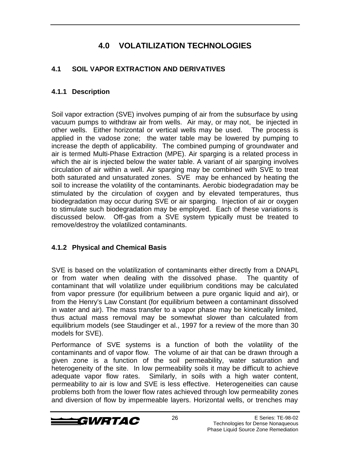# **4.0 VOLATILIZATION TECHNOLOGIES**

#### **4.1 SOIL VAPOR EXTRACTION AND DERIVATIVES**

#### **4.1.1 Description**

Soil vapor extraction (SVE) involves pumping of air from the subsurface by using vacuum pumps to withdraw air from wells. Air may, or may not, be injected in other wells. Either horizontal or vertical wells may be used. The process is applied in the vadose zone; the water table may be lowered by pumping to increase the depth of applicability. The combined pumping of groundwater and air is termed Multi-Phase Extraction (MPE). Air sparging is a related process in which the air is injected below the water table. A variant of air sparging involves circulation of air within a well. Air sparging may be combined with SVE to treat both saturated and unsaturated zones. SVE may be enhanced by heating the soil to increase the volatility of the contaminants. Aerobic biodegradation may be stimulated by the circulation of oxygen and by elevated temperatures, thus biodegradation may occur during SVE or air sparging. Injection of air or oxygen to stimulate such biodegradation may be employed. Each of these variations is discussed below. Off-gas from a SVE system typically must be treated to remove/destroy the volatilized contaminants.

#### **4.1.2 Physical and Chemical Basis**

SVE is based on the volatilization of contaminants either directly from a DNAPL or from water when dealing with the dissolved phase. The quantity of contaminant that will volatilize under equilibrium conditions may be calculated from vapor pressure (for equilibrium between a pure organic liquid and air), or from the Henry's Law Constant (for equilibrium between a contaminant dissolved in water and air). The mass transfer to a vapor phase may be kinetically limited, thus actual mass removal may be somewhat slower than calculated from equilibrium models (see Staudinger et al., 1997 for a review of the more than 30 models for SVE).

Performance of SVE systems is a function of both the volatility of the contaminants and of vapor flow. The volume of air that can be drawn through a given zone is a function of the soil permeability, water saturation and heterogeneity of the site. In low permeability soils it may be difficult to achieve adequate vapor flow rates. Similarly, in soils with a high water content, permeability to air is low and SVE is less effective. Heterogeneities can cause problems both from the lower flow rates achieved through low permeability zones and diversion of flow by impermeable layers. Horizontal wells, or trenches may

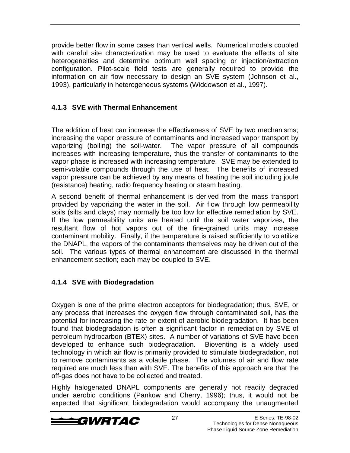provide better flow in some cases than vertical wells. Numerical models coupled with careful site characterization may be used to evaluate the effects of site heterogeneities and determine optimum well spacing or injection/extraction configuration. Pilot-scale field tests are generally required to provide the information on air flow necessary to design an SVE system (Johnson et al., 1993), particularly in heterogeneous systems (Widdowson et al., 1997).

### **4.1.3 SVE with Thermal Enhancement**

The addition of heat can increase the effectiveness of SVE by two mechanisms; increasing the vapor pressure of contaminants and increased vapor transport by vaporizing (boiling) the soil-water. The vapor pressure of all compounds increases with increasing temperature, thus the transfer of contaminants to the vapor phase is increased with increasing temperature. SVE may be extended to semi-volatile compounds through the use of heat. The benefits of increased vapor pressure can be achieved by any means of heating the soil including joule (resistance) heating, radio frequency heating or steam heating.

A second benefit of thermal enhancement is derived from the mass transport provided by vaporizing the water in the soil. Air flow through low permeability soils (silts and clays) may normally be too low for effective remediation by SVE. If the low permeability units are heated until the soil water vaporizes, the resultant flow of hot vapors out of the fine-grained units may increase contaminant mobility. Finally, if the temperature is raised sufficiently to volatilize the DNAPL, the vapors of the contaminants themselves may be driven out of the soil. The various types of thermal enhancement are discussed in the thermal enhancement section; each may be coupled to SVE.

#### **4.1.4 SVE with Biodegradation**

Oxygen is one of the prime electron acceptors for biodegradation; thus, SVE, or any process that increases the oxygen flow through contaminated soil, has the potential for increasing the rate or extent of aerobic biodegradation. It has been found that biodegradation is often a significant factor in remediation by SVE of petroleum hydrocarbon (BTEX) sites. A number of variations of SVE have been developed to enhance such biodegradation. Bioventing is a widely used technology in which air flow is primarily provided to stimulate biodegradation, not to remove contaminants as a volatile phase. The volumes of air and flow rate required are much less than with SVE. The benefits of this approach are that the off-gas does not have to be collected and treated.

Highly halogenated DNAPL components are generally not readily degraded under aerobic conditions (Pankow and Cherry, 1996); thus, it would not be expected that significant biodegradation would accompany the unaugmented

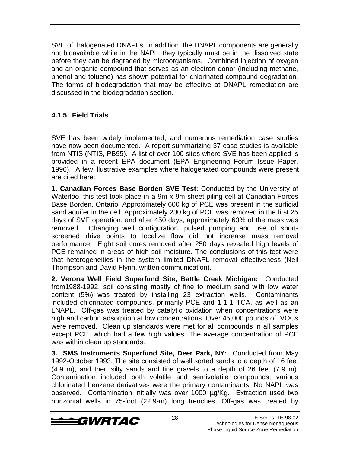SVE of halogenated DNAPLs. In addition, the DNAPL components are generally not bioavailable while in the NAPL; they typically must be in the dissolved state before they can be degraded by microorganisms. Combined injection of oxygen and an organic compound that serves as an electron donor (including methane, phenol and toluene) has shown potential for chlorinated compound degradation. The forms of biodegradation that may be effective at DNAPL remediation are discussed in the biodegradation section.

#### **4.1.5 Field Trials**

SVE has been widely implemented, and numerous remediation case studies have now been documented. A report summarizing 37 case studies is available from NTIS (NTIS, PB95). A list of over 100 sites where SVE has been applied is provided in a recent EPA document (EPA Engineering Forum Issue Paper, 1996). A few illustrative examples where halogenated compounds were present are cited here:

**1. Canadian Forces Base Borden SVE Test:** Conducted by the University of Waterloo, this test took place in a 9m x 9m sheet-piling cell at Canadian Forces Base Borden, Ontario. Approximately 600 kg of PCE was present in the surficial sand aquifer in the cell. Approximately 230 kg of PCE was removed in the first 25 days of SVE operation, and after 450 days, approximately 63% of the mass was removed. Changing well configuration, pulsed pumping and use of shortscreened drive points to localize flow did not increase mass removal performance. Eight soil cores removed after 250 days revealed high levels of PCE remained in areas of high soil moisture. The conclusions of this test were that heterogeneities in the system limited DNAPL removal effectiveness (Neil Thompson and David Flynn, written communication).

**2. Verona Well Field Superfund Site, Battle Creek Michigan:** Conducted from1988-1992, soil consisting mostly of fine to medium sand with low water content (5%) was treated by installing 23 extraction wells. Contaminants included chlorinated compounds, primarily PCE and 1-1-1 TCA, as well as an LNAPL. Off-gas was treated by catalytic oxidation when concentrations were high and carbon adsorption at low concentrations. Over 45,000 pounds of VOCs were removed. Clean up standards were met for all compounds in all samples except PCE, which had a few high values. The average concentration of PCE was within clean up standards.

**3. SMS Instruments Superfund Site, Deer Park, NY:** Conducted from May 1992-October 1993. The site consisted of well sorted sands to a depth of 16 feet (4.9 m), and then silty sands and fine gravels to a depth of 26 feet (7.9 m). Contamination included both volatile and semivolatile compounds; various chlorinated benzene derivatives were the primary contaminants. No NAPL was observed. Contamination initially was over 1000 µg/Kg. Extraction used two horizontal wells in 75-foot (22.9-m) long trenches. Off-gas was treated by

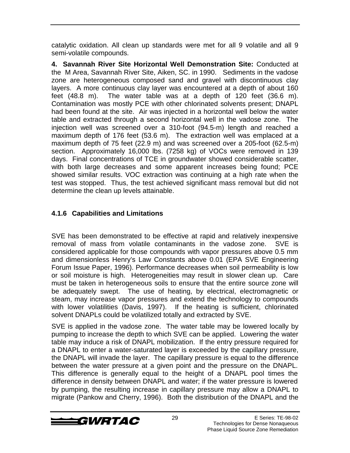catalytic oxidation. All clean up standards were met for all 9 volatile and all 9 semi-volatile compounds.

**4. Savannah River Site Horizontal Well Demonstration Site:** Conducted at the M Area, Savannah River Site, Aiken, SC. in 1990. Sediments in the vadose zone are heterogeneous composed sand and gravel with discontinuous clay layers. A more continuous clay layer was encountered at a depth of about 160 feet (48.8 m). The water table was at a depth of 120 feet (36.6 m). Contamination was mostly PCE with other chlorinated solvents present; DNAPL had been found at the site. Air was injected in a horizontal well below the water table and extracted through a second horizontal well in the vadose zone. The injection well was screened over a 310-foot (94.5-m) length and reached a maximum depth of 176 feet (53.6 m). The extraction well was emplaced at a maximum depth of 75 feet (22.9 m) and was screened over a 205-foot (62.5-m) section. Approximately 16,000 lbs. (7258 kg) of VOCs were removed in 139 days. Final concentrations of TCE in groundwater showed considerable scatter, with both large decreases and some apparent increases being found; PCE showed similar results. VOC extraction was continuing at a high rate when the test was stopped. Thus, the test achieved significant mass removal but did not determine the clean up levels attainable.

### **4.1.6 Capabilities and Limitations**

SVE has been demonstrated to be effective at rapid and relatively inexpensive removal of mass from volatile contaminants in the vadose zone. SVE is considered applicable for those compounds with vapor pressures above 0.5 mm and dimensionless Henry's Law Constants above 0.01 (EPA SVE Engineering Forum Issue Paper, 1996). Performance decreases when soil permeability is low or soil moisture is high. Heterogeneities may result in slower clean up. Care must be taken in heterogeneous soils to ensure that the entire source zone will be adequately swept. The use of heating, by electrical, electromagnetic or steam, may increase vapor pressures and extend the technology to compounds with lower volatilities (Davis, 1997). If the heating is sufficient, chlorinated solvent DNAPLs could be volatilized totally and extracted by SVE.

SVE is applied in the vadose zone. The water table may be lowered locally by pumping to increase the depth to which SVE can be applied. Lowering the water table may induce a risk of DNAPL mobilization. If the entry pressure required for a DNAPL to enter a water-saturated layer is exceeded by the capillary pressure, the DNAPL will invade the layer. The capillary pressure is equal to the difference between the water pressure at a given point and the pressure on the DNAPL. This difference is generally equal to the height of a DNAPL pool times the difference in density between DNAPL and water; if the water pressure is lowered by pumping, the resulting increase in capillary pressure may allow a DNAPL to migrate (Pankow and Cherry, 1996). Both the distribution of the DNAPL and the

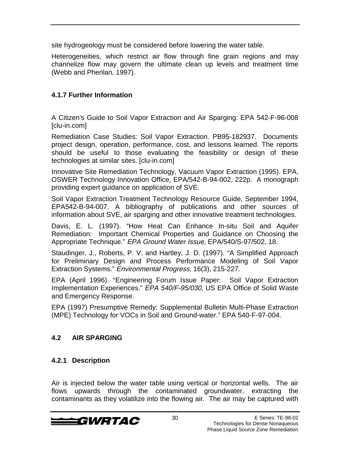site hydrogeology must be considered before lowering the water table.

Heterogeneities, which restrict air flow through fine grain regions and may channelize flow may govern the ultimate clean up levels and treatment time (Webb and Phenlan, 1997).

#### **4.1.7 Further Information**

A Citizen's Guide to Soil Vapor Extraction and Air Sparging: EPA 542-F-96-008 [clu-in.com]

Remediation Case Studies: Soil Vapor Extraction. PB95-182937. Documents project design, operation, performance, cost, and lessons learned. The reports should be useful to those evaluating the feasibility or design of these technologies at similar sites. [clu-in.com]

Innovative Site Remediation Technology, Vacuum Vapor Extraction (1995). EPA, OSWER Technology Innovation Office, EPA/542-B-94-002, 222p. A monograph providing expert guidance on application of SVE.

Soil Vapor Extraction Treatment Technology Resource Guide, September 1994, EPA542-B-94-007. A bibliography of publications and other sources of information about SVE, air sparging and other innovative treatment technologies.

Davis, E. L. (1997). "How Heat Can Enhance In-situ Soil and Aquifer Remediation: Important Chemical Properties and Guidance on Choosing the Appropriate Technique." EPA Ground Water Issue, EPA/540/S-97/502, 18.

Staudinger, J., Roberts, P. V. and Hartley, J. D. (1997). "A Simplified Approach for Preliminary Design and Process Performance Modeling of Soil Vapor Extraction Systems." Environmental Progress, 16(3), 215-227.

EPA (April 1996). "Engineering Forum Issue Paper: Soil Vapor Extraction Implementation Experiences." EPA 540/F-95/030, US EPA Office of Solid Waste and Emergency Response.

EPA (1997) Presumptive Remedy: Supplemental Bulletin Multi-Phase Extraction (MPE) Technology for VOCs in Soil and Ground-water." EPA 540-F-97-004.

#### **4.2 AIR SPARGING**

#### **4.2.1 Description**

Air is injected below the water table using vertical or horizontal wells. The air flows upwards through the contaminated groundwater, extracting the contaminants as they volatilize into the flowing air. The air may be captured with

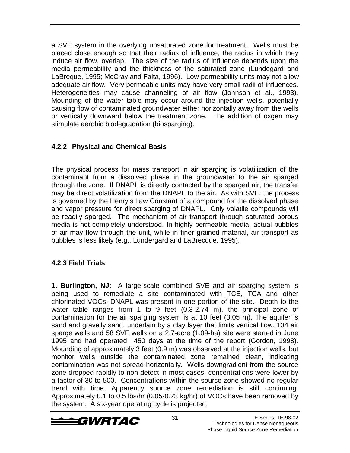a SVE system in the overlying unsaturated zone for treatment. Wells must be placed close enough so that their radius of influence, the radius in which they induce air flow, overlap. The size of the radius of influence depends upon the media permeability and the thickness of the saturated zone (Lundegard and LaBreque, 1995; McCray and Falta, 1996). Low permeability units may not allow adequate air flow. Very permeable units may have very small radii of influences. Heterogeneities may cause channeling of air flow (Johnson et al., 1993). Mounding of the water table may occur around the injection wells, potentially causing flow of contaminated groundwater either horizontally away from the wells or vertically downward below the treatment zone. The addition of oxgen may stimulate aerobic biodegradation (biosparging).

#### **4.2.2 Physical and Chemical Basis**

The physical process for mass transport in air sparging is volatilization of the contaminant from a dissolved phase in the groundwater to the air sparged through the zone. If DNAPL is directly contacted by the sparged air, the transfer may be direct volatilization from the DNAPL to the air. As with SVE, the process is governed by the Henry's Law Constant of a compound for the dissolved phase and vapor pressure for direct sparging of DNAPL. Only volatile compounds will be readily sparged. The mechanism of air transport through saturated porous media is not completely understood. In highly permeable media, actual bubbles of air may flow through the unit, while in finer grained material, air transport as bubbles is less likely (e.g., Lundergard and LaBrecque, 1995).

#### **4.2.3 Field Trials**

**1. Burlington, NJ:** A large-scale combined SVE and air sparging system is being used to remediate a site contaminated with TCE, TCA and other chlorinated VOCs; DNAPL was present in one portion of the site. Depth to the water table ranges from 1 to 9 feet (0.3-2.74 m), the principal zone of contamination for the air sparging system is at 10 feet (3.05 m). The aquifer is sand and gravelly sand, underlain by a clay layer that limits vertical flow. 134 air sparge wells and 58 SVE wells on a 2.7-acre (1.09-ha) site were started in June 1995 and had operated 450 days at the time of the report (Gordon, 1998). Mounding of approximately 3 feet (0.9 m) was observed at the injection wells, but monitor wells outside the contaminated zone remained clean, indicating contamination was not spread horizontally. Wells downgradient from the source zone dropped rapidly to non-detect in most cases; concentrations were lower by a factor of 30 to 500. Concentrations within the source zone showed no regular trend with time. Apparently source zone remediation is still continuing. Approximately 0.1 to 0.5 lbs/hr (0.05-0.23 kg/hr) of VOCs have been removed by the system. A six-year operating cycle is projected.

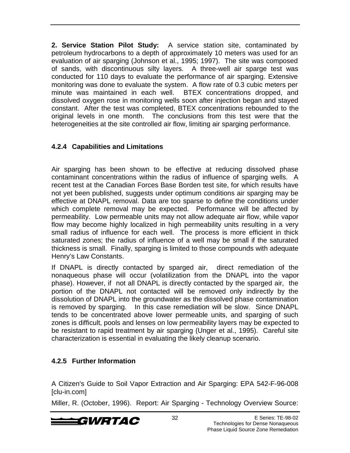**2. Service Station Pilot Study:** A service station site, contaminated by petroleum hydrocarbons to a depth of approximately 10 meters was used for an evaluation of air sparging (Johnson et al., 1995; 1997). The site was composed of sands, with discontinuous silty layers. A three-well air sparge test was conducted for 110 days to evaluate the performance of air sparging. Extensive monitoring was done to evaluate the system. A flow rate of 0.3 cubic meters per minute was maintained in each well. BTEX concentrations dropped, and dissolved oxygen rose in monitoring wells soon after injection began and stayed constant. After the test was completed, BTEX concentrations rebounded to the original levels in one month. The conclusions from this test were that the heterogeneities at the site controlled air flow, limiting air sparging performance.

#### **4.2.4 Capabilities and Limitations**

Air sparging has been shown to be effective at reducing dissolved phase contaminant concentrations within the radius of influence of sparging wells. A recent test at the Canadian Forces Base Borden test site, for which results have not yet been published, suggests under optimum conditions air sparging may be effective at DNAPL removal. Data are too sparse to define the conditions under which complete removal may be expected. Performance will be affected by permeability. Low permeable units may not allow adequate air flow, while vapor flow may become highly localized in high permeability units resulting in a very small radius of influence for each well. The process is more efficient in thick saturated zones; the radius of influence of a well may be small if the saturated thickness is small. Finally, sparging is limited to those compounds with adequate Henry's Law Constants.

If DNAPL is directly contacted by sparged air, direct remediation of the nonaqueous phase will occur (volatilization from the DNAPL into the vapor phase). However, if not all DNAPL is directly contacted by the sparged air, the portion of the DNAPL not contacted will be removed only indirectly by the dissolution of DNAPL into the groundwater as the dissolved phase contamination is removed by sparging. In this case remediation will be slow. Since DNAPL tends to be concentrated above lower permeable units, and sparging of such zones is difficult, pools and lenses on low permeability layers may be expected to be resistant to rapid treatment by air sparging (Unger et al., 1995). Careful site characterization is essential in evaluating the likely cleanup scenario.

#### **4.2.5 Further Information**

A Citizen's Guide to Soil Vapor Extraction and Air Sparging: EPA 542-F-96-008 [clu-in.com]

Miller, R. (October, 1996). Report: Air Sparging - Technology Overview Source:

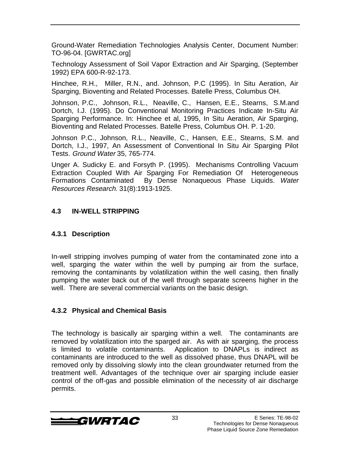Ground-Water Remediation Technologies Analysis Center, Document Number: TO-96-04. [GWRTAC.org]

Technology Assessment of Soil Vapor Extraction and Air Sparging, (September 1992) EPA 600-R-92-173.

Hinchee, R.H., Miller, R.N., and. Johnson, P.C (1995). In Situ Aeration, Air Sparging, Bioventing and Related Processes. Batelle Press, Columbus OH.

Johnson, P.C., Johnson, R.L., Neaville, C., Hansen, E.E., Stearns, S.M.and Dortch, I.J. (1995). Do Conventional Monitoring Practices Indicate In-Situ Air Sparging Performance. In: Hinchee et al, 1995, In Situ Aeration, Air Sparging, Bioventing and Related Processes. Batelle Press, Columbus OH. P. 1-20.

Johnson P.C., Johnson, R.L., Neaville, C., Hansen, E.E., Stearns, S.M. and Dortch, I.J., 1997, An Assessment of Conventional In Situ Air Sparging Pilot Tests. Ground Water 35, 765-774.

Unger A. Sudicky E. and Forsyth P. (1995). Mechanisms Controlling Vacuum Extraction Coupled With Air Sparging For Remediation Of Heterogeneous Formations Contaminated By Dense Nonaqueous Phase Liquids. Water Resources Research. 31(8):1913-1925.

#### **4.3 IN-WELL STRIPPING**

#### **4.3.1 Description**

In-well stripping involves pumping of water from the contaminated zone into a well, sparging the water within the well by pumping air from the surface, removing the contaminants by volatilization within the well casing, then finally pumping the water back out of the well through separate screens higher in the well. There are several commercial variants on the basic design.

#### **4.3.2 Physical and Chemical Basis**

The technology is basically air sparging within a well. The contaminants are removed by volatilization into the sparged air. As with air sparging, the process is limited to volatile contaminants. Application to DNAPLs is indirect as contaminants are introduced to the well as dissolved phase, thus DNAPL will be removed only by dissolving slowly into the clean groundwater returned from the treatment well. Advantages of the technique over air sparging include easier control of the off-gas and possible elimination of the necessity of air discharge permits.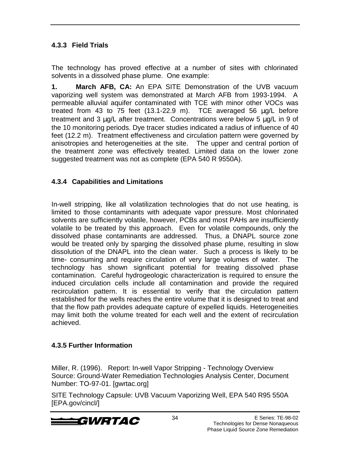#### **4.3.3 Field Trials**

The technology has proved effective at a number of sites with chlorinated solvents in a dissolved phase plume. One example:

**1. March AFB, CA:** An EPA SITE Demonstration of the UVB vacuum vaporizing well system was demonstrated at March AFB from 1993-1994. A permeable alluvial aquifer contaminated with TCE with minor other VOCs was treated from 43 to 75 feet (13.1-22.9 m). TCE averaged 56 µg/L before treatment and 3 µg/L after treatment. Concentrations were below 5 µg/L in 9 of the 10 monitoring periods. Dye tracer studies indicated a radius of influence of 40 feet (12.2 m). Treatment effectiveness and circulation pattern were governed by anisotropies and heterogeneities at the site. The upper and central portion of the treatment zone was effectively treated. Limited data on the lower zone suggested treatment was not as complete (EPA 540 R 9550A).

#### **4.3.4 Capabilities and Limitations**

In-well stripping, like all volatilization technologies that do not use heating, is limited to those contaminants with adequate vapor pressure. Most chlorinated solvents are sufficiently volatile, however, PCBs and most PAHs are insufficiently volatile to be treated by this approach. Even for volatile compounds, only the dissolved phase contaminants are addressed. Thus, a DNAPL source zone would be treated only by sparging the dissolved phase plume, resulting in slow dissolution of the DNAPL into the clean water. Such a process is likely to be time- consuming and require circulation of very large volumes of water. The technology has shown significant potential for treating dissolved phase contamination. Careful hydrogeologic characterization is required to ensure the induced circulation cells include all contamination and provide the required recirculation pattern. It is essential to verify that the circulation pattern established for the wells reaches the entire volume that it is designed to treat and that the flow path provides adequate capture of expelled liquids. Heterogeneities may limit both the volume treated for each well and the extent of recirculation achieved.

#### **4.3.5 Further Information**

Miller, R. (1996). Report: In-well Vapor Stripping - Technology Overview Source: Ground-Water Remediation Technologies Analysis Center, Document Number: TO-97-01. [gwrtac.org]

SITE Technology Capsule: UVB Vacuum Vaporizing Well, EPA 540 R95 550A [EPA.gov/cincl/]

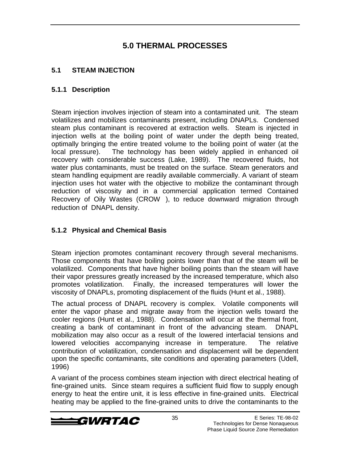### **5.0 THERMAL PROCESSES**

#### **5.1 STEAM INJECTION**

#### **5.1.1 Description**

Steam injection involves injection of steam into a contaminated unit. The steam volatilizes and mobilizes contaminants present, including DNAPLs. Condensed steam plus contaminant is recovered at extraction wells. Steam is injected in injection wells at the boiling point of water under the depth being treated, optimally bringing the entire treated volume to the boiling point of water (at the local pressure). The technology has been widely applied in enhanced oil recovery with considerable success (Lake, 1989). The recovered fluids, hot water plus contaminants, must be treated on the surface. Steam generators and steam handling equipment are readily available commercially. A variant of steam injection uses hot water with the objective to mobilize the contaminant through reduction of viscosity and in a commercial application termed Contained Recovery of Oily Wastes (CROW®), to reduce downward migration through reduction of DNAPL density.

#### **5.1.2 Physical and Chemical Basis**

Steam injection promotes contaminant recovery through several mechanisms. Those components that have boiling points lower than that of the steam will be volatilized. Components that have higher boiling points than the steam will have their vapor pressures greatly increased by the increased temperature, which also promotes volatilization. Finally, the increased temperatures will lower the viscosity of DNAPLs, promoting displacement of the fluids (Hunt et al., 1988).

The actual process of DNAPL recovery is complex. Volatile components will enter the vapor phase and migrate away from the injection wells toward the cooler regions (Hunt et al., 1988). Condensation will occur at the thermal front, creating a bank of contaminant in front of the advancing steam. DNAPL mobilization may also occur as a result of the lowered interfacial tensions and lowered velocities accompanying increase in temperature. The relative contribution of volatilization, condensation and displacement will be dependent upon the specific contaminants, site conditions and operating parameters (Udell, 1996)

A variant of the process combines steam injection with direct electrical heating of fine-grained units. Since steam requires a sufficient fluid flow to supply enough energy to heat the entire unit, it is less effective in fine-grained units. Electrical heating may be applied to the fine-grained units to drive the contaminants to the

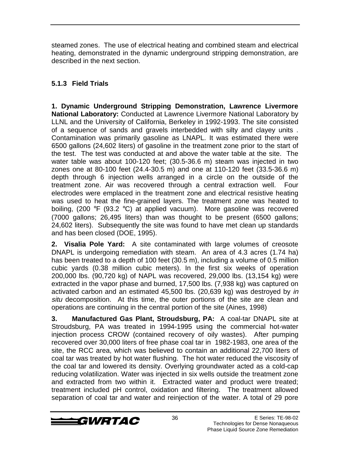steamed zones. The use of electrical heating and combined steam and electrical heating, demonstrated in the dynamic underground stripping demonstration, are described in the next section.

### **5.1.3 Field Trials**

**1. Dynamic Underground Stripping Demonstration, Lawrence Livermore National Laboratory:** Conducted at Lawrence Livermore National Laboratory by LLNL and the University of California, Berkeley in 1992-1993. The site consisted of a sequence of sands and gravels interbedded with silty and clayey units . Contamination was primarily gasoline as LNAPL. It was estimated there were 6500 gallons (24,602 liters) of gasoline in the treatment zone prior to the start of the test. The test was conducted at and above the water table at the site. The water table was about 100-120 feet; (30.5-36.6 m) steam was injected in two zones one at 80-100 feet (24.4-30.5 m) and one at 110-120 feet (33.5-36.6 m) depth through 6 injection wells arranged in a circle on the outside of the treatment zone. Air was recovered through a central extraction well. Four electrodes were emplaced in the treatment zone and electrical resistive heating was used to heat the fine-grained layers. The treatment zone was heated to boiling, (200 °F (93.2 °C) at applied vacuum). More gasoline was recovered (7000 gallons; 26,495 liters) than was thought to be present (6500 gallons; 24,602 liters). Subsequently the site was found to have met clean up standards and has been closed (DOE, 1995).

**2. Visalia Pole Yard:** A site contaminated with large volumes of creosote DNAPL is undergoing remediation with steam. An area of 4.3 acres (1.74 ha) has been treated to a depth of 100 feet (30.5 m), including a volume of 0.5 million cubic yards (0.38 million cubic meters). In the first six weeks of operation 200,000 lbs. (90,720 kg) of NAPL was recovered, 29,000 lbs. (13,154 kg) were extracted in the vapor phase and burned, 17,500 lbs. (7,938 kg) was captured on activated carbon and an estimated 45,500 lbs. (20,639 kg) was destroyed by in situ decomposition. At this time, the outer portions of the site are clean and operations are continuing in the central portion of the site (Aines, 1998)

**3. Manufactured Gas Plant, Stroudsburg, PA:** A coal-tar DNAPL site at Stroudsburg, PA was treated in 1994-1995 using the commercial hot-water injection process CROW (contained recovery of oily wastes). After pumping recovered over 30,000 liters of free phase coal tar in 1982-1983, one area of the site, the RCC area, which was believed to contain an additional 22,700 liters of coal tar was treated by hot water flushing. The hot water reduced the viscosity of the coal tar and lowered its density. Overlying groundwater acted as a cold-cap reducing volatilization. Water was injected in six wells outside the treatment zone and extracted from two within it. Extracted water and product were treated; treatment included pH control, oxidation and filtering. The treatment allowed separation of coal tar and water and reinjection of the water. A total of 29 pore

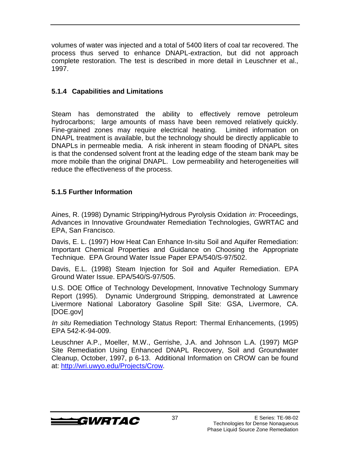volumes of water was injected and a total of 5400 liters of coal tar recovered. The process thus served to enhance DNAPL-extraction, but did not approach complete restoration. The test is described in more detail in Leuschner et al., 1997.

#### **5.1.4 Capabilities and Limitations**

Steam has demonstrated the ability to effectively remove petroleum hydrocarbons; large amounts of mass have been removed relatively quickly. Fine-grained zones may require electrical heating. Limited information on DNAPL treatment is available, but the technology should be directly applicable to DNAPLs in permeable media. A risk inherent in steam flooding of DNAPL sites is that the condensed solvent front at the leading edge of the steam bank may be more mobile than the original DNAPL. Low permeability and heterogeneities will reduce the effectiveness of the process.

#### **5.1.5 Further Information**

Aines, R. (1998) Dynamic Stripping/Hydrous Pyrolysis Oxidation in: Proceedings, Advances in Innovative Groundwater Remediation Technologies, GWRTAC and EPA, San Francisco.

Davis, E. L. (1997) How Heat Can Enhance In-situ Soil and Aquifer Remediation: Important Chemical Properties and Guidance on Choosing the Appropriate Technique. EPA Ground Water Issue Paper EPA/540/S-97/502.

Davis, E.L. (1998) Steam Injection for Soil and Aquifer Remediation. EPA Ground Water Issue. EPA/540/S-97/505.

U.S. DOE Office of Technology Development, Innovative Technology Summary Report (1995). Dynamic Underground Stripping, demonstrated at Lawrence Livermore National Laboratory Gasoline Spill Site: GSA, Livermore, CA. [DOE.gov]

In situ Remediation Technology Status Report: Thermal Enhancements, (1995) EPA 542-K-94-009.

Leuschner A.P., Moeller, M.W., Gerrishe, J.A. and Johnson L.A. (1997) MGP Site Remediation Using Enhanced DNAPL Recovery, Soil and Groundwater Cleanup, October, 1997, p 6-13. Additional Information on CROW can be found at: http://wri.uwyo.edu/Projects/Crow.

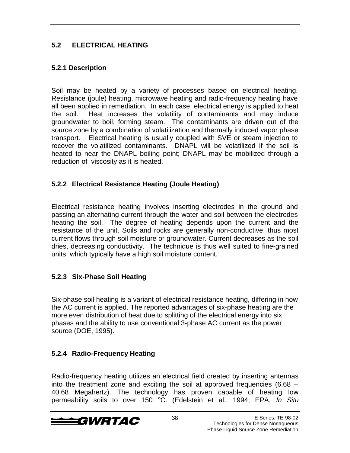#### **5.2 ELECTRICAL HEATING**

#### **5.2.1 Description**

Soil may be heated by a variety of processes based on electrical heating. Resistance (joule) heating, microwave heating and radio-frequency heating have all been applied in remediation. In each case, electrical energy is applied to heat the soil. Heat increases the volatility of contaminants and may induce groundwater to boil, forming steam. The contaminants are driven out of the source zone by a combination of volatilization and thermally induced vapor phase transport. Electrical heating is usually coupled with SVE or steam injection to recover the volatilized contaminants. DNAPL will be volatilized if the soil is heated to near the DNAPL boiling point; DNAPL may be mobilized through a reduction of viscosity as it is heated.

#### **5.2.2 Electrical Resistance Heating (Joule Heating)**

Electrical resistance heating involves inserting electrodes in the ground and passing an alternating current through the water and soil between the electrodes heating the soil. The degree of heating depends upon the current and the resistance of the unit. Soils and rocks are generally non-conductive, thus most current flows through soil moisture or groundwater. Current decreases as the soil dries, decreasing conductivity. The technique is thus well suited to fine-grained units, which typically have a high soil moisture content.

#### **5.2.3 Six-Phase Soil Heating**

Six-phase soil heating is a variant of electrical resistance heating, differing in how the AC current is applied. The reported advantages of six-phase heating are the more even distribution of heat due to splitting of the electrical energy into six phases and the ability to use conventional 3-phase AC current as the power source (DOE, 1995).

#### **5.2.4 Radio-Frequency Heating**

Radio-frequency heating utilizes an electrical field created by inserting antennas into the treatment zone and exciting the soil at approved frequencies (6.68 – 40.68 Megahertz). The technology has proven capable of heating low permeability soils to over 150 °C. (Edelstein et al., 1994; EPA, In Situ

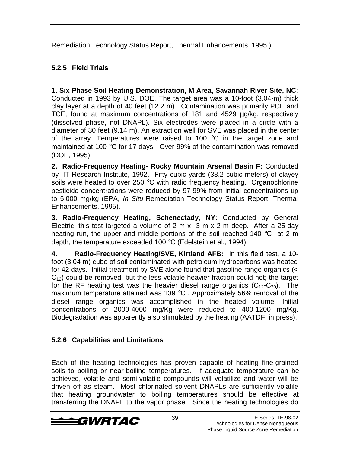Remediation Technology Status Report, Thermal Enhancements, 1995.)

### **5.2.5 Field Trials**

**1. Six Phase Soil Heating Demonstration, M Area, Savannah River Site, NC:** Conducted in 1993 by U.S. DOE. The target area was a 10-foot (3.04-m) thick clay layer at a depth of 40 feet (12.2 m). Contamination was primarily PCE and TCE, found at maximum concentrations of 181 and 4529 µg/kg, respectively (dissolved phase, not DNAPL). Six electrodes were placed in a circle with a diameter of 30 feet (9.14 m). An extraction well for SVE was placed in the center of the array. Temperatures were raised to 100  $^{\circ}$ C in the target zone and maintained at 100 °C for 17 days. Over 99% of the contamination was removed (DOE, 1995)

**2. Radio-Frequency Heating- Rocky Mountain Arsenal Basin F:** Conducted by IIT Research Institute, 1992. Fifty cubic yards (38.2 cubic meters) of clayey soils were heated to over 250 °C with radio frequency heating. Organochlorine pesticide concentrations were reduced by 97-99% from initial concentrations up to 5,000 mg/kg (EPA, In Situ Remediation Technology Status Report, Thermal Enhancements, 1995).

**3. Radio-Frequency Heating, Schenectady, NY:** Conducted by General Electric, this test targeted a volume of 2 m x 3 m x 2 m deep. After a 25-day heating run, the upper and middle portions of the soil reached 140 °C at 2 m depth, the temperature exceeded 100 °C (Edelstein et al., 1994).

**4. Radio-Frequency Heating/SVE, Kirtland AFB:** In this field test, a 10 foot (3.04-m) cube of soil contaminated with petroleum hydrocarbons was heated for 42 days. Initial treatment by SVE alone found that gasoline-range organics (<  $C_{12}$ ) could be removed, but the less volatile heavier fraction could not; the target for the RF heating test was the heavier diesel range organics  $(C_{12} - C_{20})$ . The maximum temperature attained was 139 °C . Approximately 56% removal of the diesel range organics was accomplished in the heated volume. Initial concentrations of 2000-4000 mg/Kg were reduced to 400-1200 mg/Kg. Biodegradation was apparently also stimulated by the heating (AATDF, in press).

#### **5.2.6 Capabilities and Limitations**

Each of the heating technologies has proven capable of heating fine-grained soils to boiling or near-boiling temperatures. If adequate temperature can be achieved, volatile and semi-volatile compounds will volatilize and water will be driven off as steam. Most chlorinated solvent DNAPLs are sufficiently volatile that heating groundwater to boiling temperatures should be effective at transferring the DNAPL to the vapor phase. Since the heating technologies do

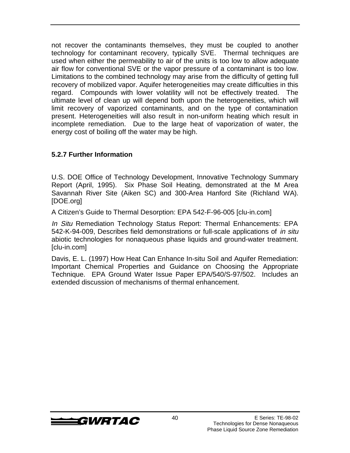not recover the contaminants themselves, they must be coupled to another technology for contaminant recovery, typically SVE. Thermal techniques are used when either the permeability to air of the units is too low to allow adequate air flow for conventional SVE or the vapor pressure of a contaminant is too low. Limitations to the combined technology may arise from the difficulty of getting full recovery of mobilized vapor. Aquifer heterogeneities may create difficulties in this regard. Compounds with lower volatility will not be effectively treated. The ultimate level of clean up will depend both upon the heterogeneities, which will limit recovery of vaporized contaminants, and on the type of contamination present. Heterogeneities will also result in non-uniform heating which result in incomplete remediation. Due to the large heat of vaporization of water, the energy cost of boiling off the water may be high.

#### **5.2.7 Further Information**

U.S. DOE Office of Technology Development, Innovative Technology Summary Report (April, 1995). Six Phase Soil Heating, demonstrated at the M Area Savannah River Site (Aiken SC) and 300-Area Hanford Site (Richland WA). [DOE.org]

A Citizen's Guide to Thermal Desorption: EPA 542-F-96-005 [clu-in.com]

In Situ Remediation Technology Status Report: Thermal Enhancements: EPA 542-K-94-009, Describes field demonstrations or full-scale applications of in situ abiotic technologies for nonaqueous phase liquids and ground-water treatment. [clu-in.com]

Davis, E. L. (1997) How Heat Can Enhance In-situ Soil and Aquifer Remediation: Important Chemical Properties and Guidance on Choosing the Appropriate Technique. EPA Ground Water Issue Paper EPA/540/S-97/502. Includes an extended discussion of mechanisms of thermal enhancement.

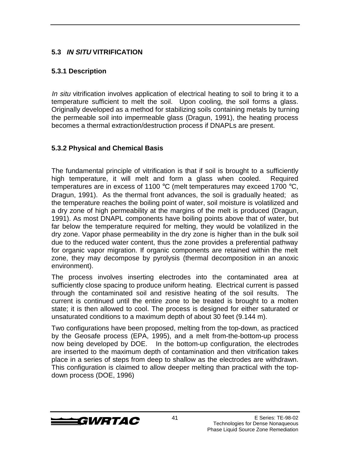#### **5.3 IN SITU VITRIFICATION**

#### **5.3.1 Description**

In situ vitrification involves application of electrical heating to soil to bring it to a temperature sufficient to melt the soil. Upon cooling, the soil forms a glass. Originally developed as a method for stabilizing soils containing metals by turning the permeable soil into impermeable glass (Dragun, 1991), the heating process becomes a thermal extraction/destruction process if DNAPLs are present.

#### **5.3.2 Physical and Chemical Basis**

The fundamental principle of vitrification is that if soil is brought to a sufficiently high temperature, it will melt and form a glass when cooled. Required temperatures are in excess of 1100  $\mathrm{^{\circ}C}$  (melt temperatures may exceed 1700  $\mathrm{^{\circ}C}$ , Dragun, 1991). As the thermal front advances, the soil is gradually heated; as the temperature reaches the boiling point of water, soil moisture is volatilized and a dry zone of high permeability at the margins of the melt is produced (Dragun, 1991). As most DNAPL components have boiling points above that of water, but far below the temperature required for melting, they would be volatilized in the dry zone. Vapor phase permeability in the dry zone is higher than in the bulk soil due to the reduced water content, thus the zone provides a preferential pathway for organic vapor migration. If organic components are retained within the melt zone, they may decompose by pyrolysis (thermal decomposition in an anoxic environment).

The process involves inserting electrodes into the contaminated area at sufficiently close spacing to produce uniform heating. Electrical current is passed through the contaminated soil and resistive heating of the soil results. The current is continued until the entire zone to be treated is brought to a molten state; it is then allowed to cool. The process is designed for either saturated or unsaturated conditions to a maximum depth of about 30 feet (9.144 m).

Two configurations have been proposed, melting from the top-down, as practiced by the Geosafe process (EPA, 1995), and a melt from-the-bottom-up process now being developed by DOE. In the bottom-up configuration, the electrodes are inserted to the maximum depth of contamination and then vitrification takes place in a series of steps from deep to shallow as the electrodes are withdrawn. This configuration is claimed to allow deeper melting than practical with the topdown process (DOE, 1996)

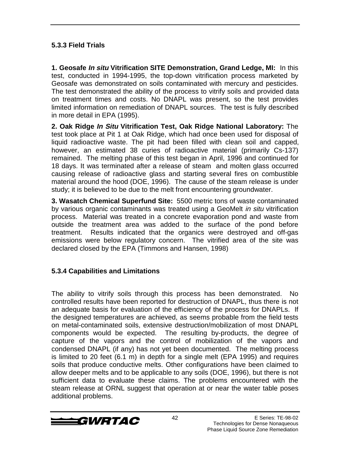#### **5.3.3 Field Trials**

**1. Geosafe In situ Vitrification SITE Demonstration, Grand Ledge, MI:** In this test, conducted in 1994-1995, the top-down vitrification process marketed by Geosafe was demonstrated on soils contaminated with mercury and pesticides. The test demonstrated the ability of the process to vitrify soils and provided data on treatment times and costs. No DNAPL was present, so the test provides limited information on remediation of DNAPL sources. The test is fully described in more detail in EPA (1995).

**2. Oak Ridge In Situ Vitrification Test, Oak Ridge National Laboratory:** The test took place at Pit 1 at Oak Ridge, which had once been used for disposal of liquid radioactive waste. The pit had been filled with clean soil and capped, however, an estimated 38 curies of radioactive material (primarily Cs-137) remained. The melting phase of this test began in April, 1996 and continued for 18 days. It was terminated after a release of steam and molten glass occurred causing release of radioactive glass and starting several fires on combustible material around the hood (DOE, 1996). The cause of the steam release is under study; it is believed to be due to the melt front encountering groundwater.

**3. Wasatch Chemical Superfund Site:** 5500 metric tons of waste contaminated by various organic contaminants was treated using a GeoMelt *in situ* vitrification process. Material was treated in a concrete evaporation pond and waste from outside the treatment area was added to the surface of the pond before treatment. Results indicated that the organics were destroyed and off-gas emissions were below regulatory concern. The vitrified area of the site was declared closed by the EPA (Timmons and Hansen, 1998)

#### **5.3.4 Capabilities and Limitations**

The ability to vitrify soils through this process has been demonstrated. No controlled results have been reported for destruction of DNAPL, thus there is not an adequate basis for evaluation of the efficiency of the process for DNAPLs. If the designed temperatures are achieved, as seems probable from the field tests on metal-contaminated soils, extensive destruction/mobilization of most DNAPL components would be expected. The resulting by-products, the degree of capture of the vapors and the control of mobilization of the vapors and condensed DNAPL (if any) has not yet been documented. The melting process is limited to 20 feet (6.1 m) in depth for a single melt (EPA 1995) and requires soils that produce conductive melts. Other configurations have been claimed to allow deeper melts and to be applicable to any soils (DOE, 1996), but there is not sufficient data to evaluate these claims. The problems encountered with the steam release at ORNL suggest that operation at or near the water table poses additional problems.

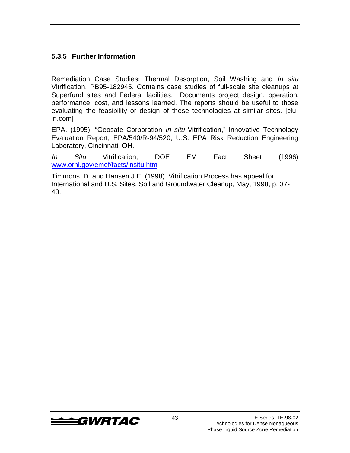#### **5.3.5 Further Information**

Remediation Case Studies: Thermal Desorption, Soil Washing and In situ Vitrification. PB95-182945. Contains case studies of full-scale site cleanups at Superfund sites and Federal facilities. Documents project design, operation, performance, cost, and lessons learned. The reports should be useful to those evaluating the feasibility or design of these technologies at similar sites. [cluin.com]

EPA. (1995). "Geosafe Corporation In situ Vitrification," Innovative Technology Evaluation Report, EPA/540/R-94/520, U.S. EPA Risk Reduction Engineering Laboratory, Cincinnati, OH.

In Situ Vitrification, DOE EM Fact Sheet (1996) www.ornl.gov/emef/facts/insitu.htm

Timmons, D. and Hansen J.E. (1998) Vitrification Process has appeal for International and U.S. Sites, Soil and Groundwater Cleanup, May, 1998, p. 37- 40.

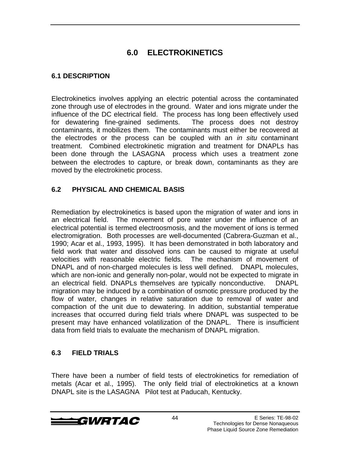# **6.0 ELECTROKINETICS**

#### **6.1 DESCRIPTION**

Electrokinetics involves applying an electric potential across the contaminated zone through use of electrodes in the ground. Water and ions migrate under the influence of the DC electrical field. The process has long been effectively used<br>for dewatering fine-grained sediments. The process does not destroy for dewatering fine-grained sediments. contaminants, it mobilizes them. The contaminants must either be recovered at the electrodes or the process can be coupled with an *in situ* contaminant treatment. Combined electrokinetic migration and treatment for DNAPLs has been done through the  $LASAGNA^{\circ}$  process which uses a treatment zone between the electrodes to capture, or break down, contaminants as they are moved by the electrokinetic process.

#### **6.2 PHYSICAL AND CHEMICAL BASIS**

Remediation by electrokinetics is based upon the migration of water and ions in an electrical field. The movement of pore water under the influence of an electrical potential is termed electroosmosis, and the movement of ions is termed electromigration. Both processes are well-documented (Cabrera-Guzman et al., 1990; Acar et al., 1993, 1995). It has been demonstrated in both laboratory and field work that water and dissolved ions can be caused to migrate at useful velocities with reasonable electric fields. The mechanism of movement of DNAPL and of non-charged molecules is less well defined. DNAPL molecules, which are non-ionic and generally non-polar, would not be expected to migrate in an electrical field. DNAPLs themselves are typically nonconductive. DNAPL migration may be induced by a combination of osmotic pressure produced by the flow of water, changes in relative saturation due to removal of water and compaction of the unit due to dewatering. In addition, substantial temperatue increases that occurred during field trials where DNAPL was suspected to be present may have enhanced volatilization of the DNAPL. There is insufficient data from field trials to evaluate the mechanism of DNAPL migration.

#### **6.3 FIELD TRIALS**

There have been a number of field tests of electrokinetics for remediation of metals (Acar et al., 1995). The only field trial of electrokinetics at a known DNAPL site is the LASAGNA<sup>®</sup> Pilot test at Paducah, Kentucky.

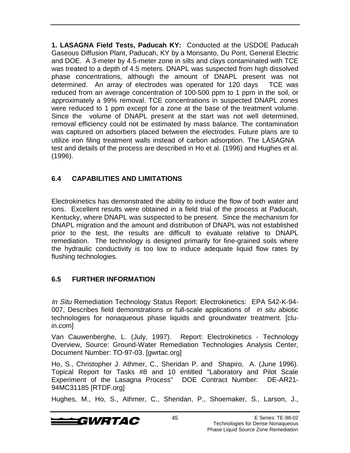**1. LASAGNA Field Tests, Paducah KY:** Conducted at the USDOE Paducah Gaseous Diffusion Plant, Paducah, KY by a Monsanto, Du Pont, General Electric and DOE. A 3-meter by 4.5-meter zone in silts and clays contaminated with TCE was treated to a depth of 4.5 meters. DNAPL was suspected from high dissolved phase concentrations, although the amount of DNAPL present was not determined. An array of electrodes was operated for 120 days TCE was reduced from an average concentration of 100-500 ppm to 1 ppm in the soil, or approximately a 99% removal. TCE concentrations in suspected DNAPL zones were reduced to 1 ppm except for a zone at the base of the treatment volume. Since the volume of DNAPL present at the start was not well determined, removal efficiency could not be estimated by mass balance. The contamination was captured on adsorbers placed between the electrodes. Future plans are to utilize iron filing treatment walls instead of carbon adsorption. The LASAGNA<sup>®</sup> test and details of the process are described in Ho et al. (1996) and Hughes et al. (1996).

#### **6.4 CAPABILITIES AND LIMITATIONS**

Electrokinetics has demonstrated the ability to induce the flow of both water and ions. Excellent results were obtained in a field trial of the process at Paducah, Kentucky, where DNAPL was suspected to be present. Since the mechanism for DNAPL migration and the amount and distribution of DNAPL was not established prior to the test, the results are difficult to evaluate relative to DNAPL remediation. The technology is designed primarily for fine-grained soils where the hydraulic conductivity is too low to induce adequate liquid flow rates by flushing technologies.

### **6.5 FURTHER INFORMATION**

In Situ Remediation Technology Status Report: Electrokinetics: EPA 542-K-94- 007, Describes field demonstrations or full-scale applications of *in situ* abiotic technologies for nonaqueous phase liquids and groundwater treatment. [cluin.com]

Van Cauwenberghe, L. (July, 1997). Report: Electrokinetics - Technology Overview, Source: Ground-Water Remediation Technologies Analysis Center, Document Number: TO-97-03. [gwrtac.org]

Ho, S., Christopher J. Athmer, C., Sheridan P. and Shapiro, A. (June 1996). Topical Report for Tasks #8 and 10 entitled "Laboratory and Pilot Scale Experiment of the Lasagna Process" DOE Contract Number: DE-AR21- 94MC31185 [RTDF.org]

Hughes, M., Ho, S., Athmer, C., Sheridan, P., Shoemaker, S., Larson, J.,

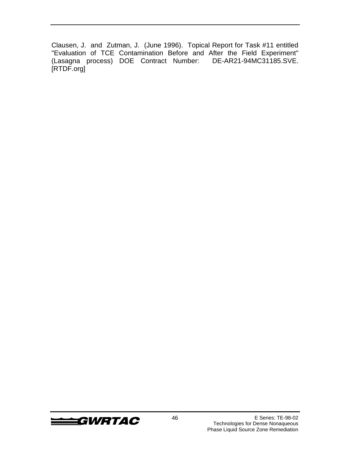Clausen, J. and Zutman, J. (June 1996). Topical Report for Task #11 entitled "Evaluation of TCE Contamination Before and After the Field Experiment" (Lasagna process) DOE Contract Number: DE-AR21-94MC31185.SVE. [RTDF.org]

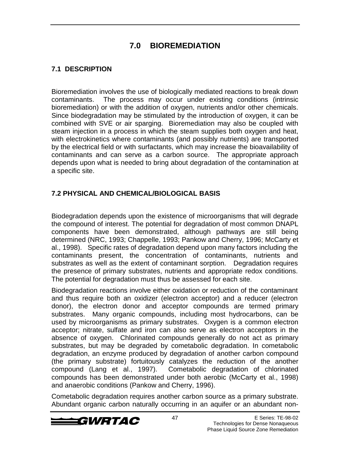### **7.0 BIOREMEDIATION**

#### **7.1 DESCRIPTION**

Bioremediation involves the use of biologically mediated reactions to break down contaminants. The process may occur under existing conditions (intrinsic bioremediation) or with the addition of oxygen, nutrients and/or other chemicals. Since biodegradation may be stimulated by the introduction of oxygen, it can be combined with SVE or air sparging. Bioremediation may also be coupled with steam injection in a process in which the steam supplies both oxygen and heat, with electrokinetics where contaminants (and possibly nutrients) are transported by the electrical field or with surfactants, which may increase the bioavailability of contaminants and can serve as a carbon source. The appropriate approach depends upon what is needed to bring about degradation of the contamination at a specific site.

#### **7.2 PHYSICAL AND CHEMICAL/BIOLOGICAL BASIS**

Biodegradation depends upon the existence of microorganisms that will degrade the compound of interest. The potential for degradation of most common DNAPL components have been demonstrated, although pathways are still being determined (NRC, 1993; Chappelle, 1993; Pankow and Cherry, 1996; McCarty et al., 1998). Specific rates of degradation depend upon many factors including the contaminants present, the concentration of contaminants, nutrients and substrates as well as the extent of contaminant sorption. Degradation requires the presence of primary substrates, nutrients and appropriate redox conditions. The potential for degradation must thus be assessed for each site.

Biodegradation reactions involve either oxidation or reduction of the contaminant and thus require both an oxidizer (electron acceptor) and a reducer (electron donor), the electron donor and acceptor compounds are termed primary substrates. Many organic compounds, including most hydrocarbons, can be used by microorganisms as primary substrates. Oxygen is a common electron acceptor; nitrate, sulfate and iron can also serve as electron acceptors in the absence of oxygen. Chlorinated compounds generally do not act as primary substrates, but may be degraded by cometabolic degradation. In cometabolic degradation, an enzyme produced by degradation of another carbon compound (the primary substrate) fortuitously catalyzes the reduction of the another compound (Lang et al., 1997). Cometabolic degradation of chlorinated compounds has been demonstrated under both aerobic (McCarty et al., 1998) and anaerobic conditions (Pankow and Cherry, 1996).

Cometabolic degradation requires another carbon source as a primary substrate. Abundant organic carbon naturally occurring in an aquifer or an abundant non-

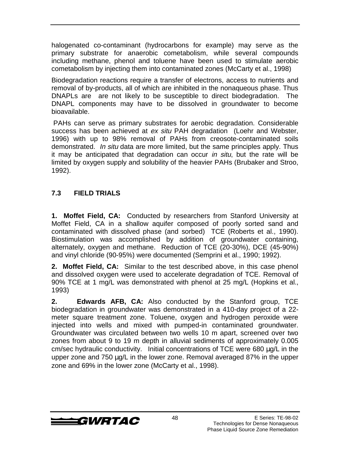halogenated co-contaminant (hydrocarbons for example) may serve as the primary substrate for anaerobic cometabolism, while several compounds including methane, phenol and toluene have been used to stimulate aerobic cometabolism by injecting them into contaminated zones (McCarty et al., 1998)

Biodegradation reactions require a transfer of electrons, access to nutrients and removal of by-products, all of which are inhibited in the nonaqueous phase. Thus DNAPLs are are not likely to be susceptible to direct biodegradation. The DNAPL components may have to be dissolved in groundwater to become bioavailable.

 PAHs can serve as primary substrates for aerobic degradation. Considerable success has been achieved at ex situ PAH degradation (Loehr and Webster, 1996) with up to 98% removal of PAHs from creosote-contaminated soils demonstrated. In situ data are more limited, but the same principles apply. Thus it may be anticipated that degradation can occur in situ, but the rate will be limited by oxygen supply and solubility of the heavier PAHs (Brubaker and Stroo, 1992).

#### **7.3 FIELD TRIALS**

**1. Moffet Field, CA:** Conducted by researchers from Stanford University at Moffet Field, CA in a shallow aquifer composed of poorly sorted sand and contaminated with dissolved phase (and sorbed) TCE (Roberts et al., 1990). Biostimulation was accomplished by addition of groundwater containing, alternately, oxygen and methane. Reduction of TCE (20-30%), DCE (45-90%) and vinyl chloride (90-95%) were documented (Semprini et al., 1990; 1992).

**2. Moffet Field, CA:** Similar to the test described above, in this case phenol and dissolved oxygen were used to accelerate degradation of TCE. Removal of 90% TCE at 1 mg/L was demonstrated with phenol at 25 mg/L (Hopkins et al., 1993)

**2. Edwards AFB, CA:** Also conducted by the Stanford group, TCE biodegradation in groundwater was demonstrated in a 410-day project of a 22 meter square treatment zone. Toluene, oxygen and hydrogen peroxide were injected into wells and mixed with pumped-in contaminated groundwater. Groundwater was circulated between two wells 10 m apart, screened over two zones from about 9 to 19 m depth in alluvial sediments of approximately 0.005 cm/sec hydraulic conductivity. Initial concentrations of TCE were 680 µg/L in the upper zone and 750 µg/L in the lower zone. Removal averaged 87% in the upper zone and 69% in the lower zone (McCarty et al., 1998).

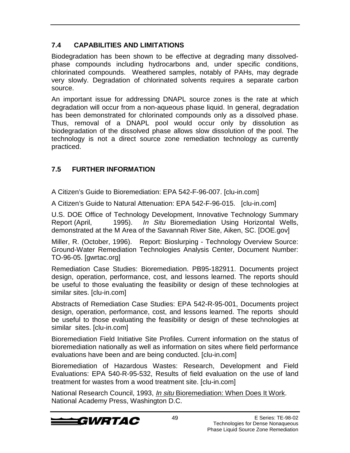### **7.4 CAPABILITIES AND LIMITATIONS**

Biodegradation has been shown to be effective at degrading many dissolvedphase compounds including hydrocarbons and, under specific conditions, chlorinated compounds. Weathered samples, notably of PAHs, may degrade very slowly. Degradation of chlorinated solvents requires a separate carbon source.

An important issue for addressing DNAPL source zones is the rate at which degradation will occur from a non-aqueous phase liquid. In general, degradation has been demonstrated for chlorinated compounds only as a dissolved phase. Thus, removal of a DNAPL pool would occur only by dissolution as biodegradation of the dissolved phase allows slow dissolution of the pool. The technology is not a direct source zone remediation technology as currently practiced.

### **7.5 FURTHER INFORMATION**

A Citizen's Guide to Bioremediation: EPA 542-F-96-007. [clu-in.com]

A Citizen's Guide to Natural Attenuation: EPA 542-F-96-015. [clu-in.com]

U.S. DOE Office of Technology Development, Innovative Technology Summary Report (April, 1995). In Situ Bioremediation Using Horizontal Wells, demonstrated at the M Area of the Savannah River Site, Aiken, SC. [DOE.gov]

Miller, R. (October, 1996). Report: Bioslurping - Technology Overview Source: Ground-Water Remediation Technologies Analysis Center, Document Number: TO-96-05. [gwrtac.org]

Remediation Case Studies: Bioremediation. PB95-182911. Documents project design, operation, performance, cost, and lessons learned. The reports should be useful to those evaluating the feasibility or design of these technologies at similar sites. [clu-in.com]

Abstracts of Remediation Case Studies: EPA 542-R-95-001, Documents project design, operation, performance, cost, and lessons learned. The reports should be useful to those evaluating the feasibility or design of these technologies at similar sites. [clu-in.com]

Bioremediation Field Initiative Site Profiles. Current information on the status of bioremediation nationally as well as information on sites where field performance evaluations have been and are being conducted. [clu-in.com]

Bioremediation of Hazardous Wastes: Research, Development and Field Evaluations: EPA 540-R-95-532, Results of field evaluation on the use of land treatment for wastes from a wood treatment site. [clu-in.com]

National Research Council, 1993, In situ Bioremediation: When Does It Work. National Academy Press, Washington D.C.

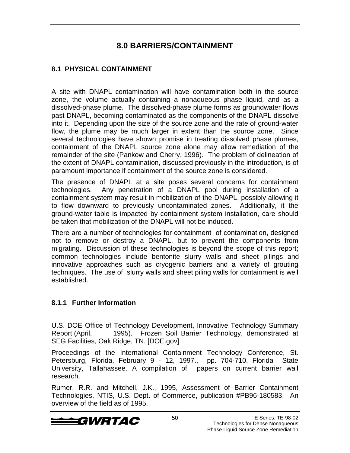### **8.0 BARRIERS/CONTAINMENT**

#### **8.1 PHYSICAL CONTAINMENT**

A site with DNAPL contamination will have contamination both in the source zone, the volume actually containing a nonaqueous phase liquid, and as a dissolved-phase plume. The dissolved-phase plume forms as groundwater flows past DNAPL, becoming contaminated as the components of the DNAPL dissolve into it. Depending upon the size of the source zone and the rate of ground-water flow, the plume may be much larger in extent than the source zone. Since several technologies have shown promise in treating dissolved phase plumes, containment of the DNAPL source zone alone may allow remediation of the remainder of the site (Pankow and Cherry, 1996). The problem of delineation of the extent of DNAPL contamination, discussed previously in the introduction, is of paramount importance if containment of the source zone is considered.

The presence of DNAPL at a site poses several concerns for containment technologies. Any penetration of a DNAPL pool during installation of a containment system may result in mobilization of the DNAPL, possibly allowing it to flow downward to previously uncontaminated zones. Additionally, it the ground-water table is impacted by containment system installation, care should be taken that mobilization of the DNAPL will not be induced.

There are a number of technologies for containment of contamination, designed not to remove or destroy a DNAPL, but to prevent the components from migrating. Discussion of these technologies is beyond the scope of this report; common technologies include bentonite slurry walls and sheet pilings and innovative approaches such as cryogenic barriers and a variety of grouting techniques. The use of slurry walls and sheet piling walls for containment is well established.

#### **8.1.1 Further Information**

U.S. DOE Office of Technology Development, Innovative Technology Summary Report (April, 1995). Frozen Soil Barrier Technology, demonstrated at SEG Facilities, Oak Ridge, TN. [DOE.gov]

Proceedings of the International Containment Technology Conference, St. Petersburg, Florida, February 9 - 12, 1997., pp. 704-710, Florida State University, Tallahassee. A compilation of papers on current barrier wall research.

Rumer, R.R. and Mitchell, J.K., 1995, Assessment of Barrier Containment Technologies. NTIS, U.S. Dept. of Commerce, publication #PB96-180583. An overview of the field as of 1995.

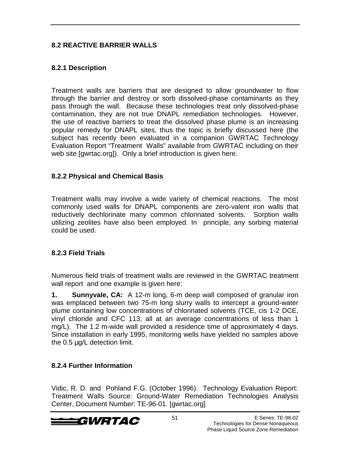#### **8.2 REACTIVE BARRIER WALLS**

#### **8.2.1 Description**

Treatment walls are barriers that are designed to allow groundwater to flow through the barrier and destroy or sorb dissolved-phase contaminants as they pass through the wall. Because these technologies treat only dissolved-phase contamination, they are not true DNAPL remediation technologies. However, the use of reactive barriers to treat the dissolved phase plume is an increasing popular remedy for DNAPL sites, thus the topic is briefly discussed here (the subject has recently been evaluated in a companion GWRTAC Technology Evaluation Report "Treatment Walls" available from GWRTAC including on their web site [gwrtac.org]). Only a brief introduction is given here.

#### **8.2.2 Physical and Chemical Basis**

Treatment walls may involve a wide variety of chemical reactions. The most commonly used walls for DNAPL components are zero-valent iron walls that reductively dechlorinate many common chlorinated solvents. Sorption walls utilizing zeolites have also been employed. In principle, any sorbing material could be used.

#### **8.2.3 Field Trials**

Numerous field trials of treatment walls are reviewed in the GWRTAC treatment wall report and one example is given here:

**1. Sunnyvale, CA:** A 12-m long, 6-m deep wall composed of granular iron was emplaced between two 75-m long slurry walls to intercept a ground-water plume containing low concentrations of chlorinated solvents (TCE, cis 1-2 DCE, vinyl chloride and CFC 113, all at an average concentrations of less than 1 mg/L). The 1.2 m-wide wall provided a residence time of approximately 4 days. Since installation in early 1995, monitoring wells have yielded no samples above the 0.5 µg/L detection limit.

#### **8.2.4 Further Information**

Vidic, R. D. and Pohland F.G. (October 1996). Technology Evaluation Report: Treatment Walls Source: Ground-Water Remediation Technologies Analysis Center, Document Number: TE-96-01. [gwrtac.org]

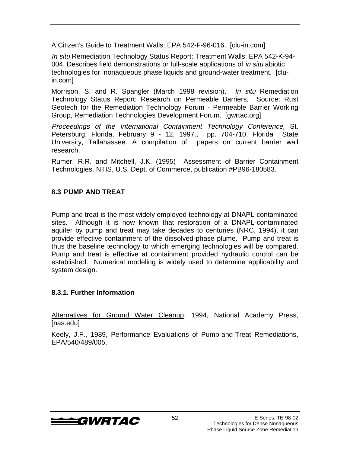A Citizen's Guide to Treatment Walls: EPA 542-F-96-016. [clu-in.com]

In situ Remediation Technology Status Report: Treatment Walls: EPA 542-K-94- 004, Describes field demonstrations or full-scale applications of in situ abiotic technologies for nonaqueous phase liquids and ground-water treatment. [cluin.com]

Morrison, S. and R. Spangler (March 1998 revision). In situ Remediation Technology Status Report: Research on Permeable Barriers, Source: Rust Geotech for the Remediation Technology Forum - Permeable Barrier Working Group, Remediation Technologies Development Forum. [gwrtac.org]

Proceedings of the International Containment Technology Conference, St. Petersburg, Florida, February 9 - 12, 1997., pp. 704-710, Florida State University, Tallahassee. A compilation of papers on current barrier wall research.

Rumer, R.R. and Mitchell, J.K. (1995) Assessment of Barrier Containment Technologies. NTIS, U.S. Dept. of Commerce, publication #PB96-180583.

#### **8.3 PUMP AND TREAT**

Pump and treat is the most widely employed technology at DNAPL-contaminated sites. Although it is now known that restoration of a DNAPL-contaminated aquifer by pump and treat may take decades to centuries (NRC, 1994), it can provide effective containment of the dissolved-phase plume. Pump and treat is thus the baseline technology to which emerging technologies will be compared. Pump and treat is effective at containment provided hydraulic control can be established. Numerical modeling is widely used to determine applicability and system design.

#### **8.3.1. Further Information**

Alternatives for Ground Water Cleanup, 1994, National Academy Press, [nas.edu]

Keely, J.F., 1989, Performance Evaluations of Pump-and-Treat Remediations, EPA/540/489/005.

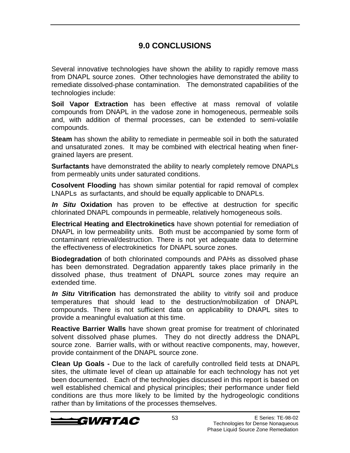### **9.0 CONCLUSIONS**

Several innovative technologies have shown the ability to rapidly remove mass from DNAPL source zones. Other technologies have demonstrated the ability to remediate dissolved-phase contamination. The demonstrated capabilities of the technologies include:

**Soil Vapor Extraction** has been effective at mass removal of volatile compounds from DNAPL in the vadose zone in homogeneous, permeable soils and, with addition of thermal processes, can be extended to semi-volatile compounds.

**Steam** has shown the ability to remediate in permeable soil in both the saturated and unsaturated zones. It may be combined with electrical heating when finergrained layers are present.

**Surfactants** have demonstrated the ability to nearly completely remove DNAPLs from permeably units under saturated conditions.

**Cosolvent Flooding** has shown similar potential for rapid removal of complex LNAPLs as surfactants, and should be equally applicable to DNAPLs.

**In Situ Oxidation** has proven to be effective at destruction for specific chlorinated DNAPL compounds in permeable, relatively homogeneous soils.

**Electrical Heating and Electrokinetics** have shown potential for remediation of DNAPL in low permeability units. Both must be accompanied by some form of contaminant retrieval/destruction. There is not yet adequate data to determine the effectiveness of electrokinetics for DNAPL source zones.

**Biodegradation** of both chlorinated compounds and PAHs as dissolved phase has been demonstrated. Degradation apparently takes place primarily in the dissolved phase, thus treatment of DNAPL source zones may require an extended time.

**In Situ Vitrification** has demonstrated the ability to vitrify soil and produce temperatures that should lead to the destruction/mobilization of DNAPL compounds. There is not sufficient data on applicability to DNAPL sites to provide a meaningful evaluation at this time.

**Reactive Barrier Walls** have shown great promise for treatment of chlorinated solvent dissolved phase plumes. They do not directly address the DNAPL source zone. Barrier walls, with or without reactive components, may, however, provide containment of the DNAPL source zone.

**Clean Up Goals -** Due to the lack of carefully controlled field tests at DNAPL sites, the ultimate level of clean up attainable for each technology has not yet been documented. Each of the technologies discussed in this report is based on well established chemical and physical principles; their performance under field conditions are thus more likely to be limited by the hydrogeologic conditions rather than by limitations of the processes themselves.

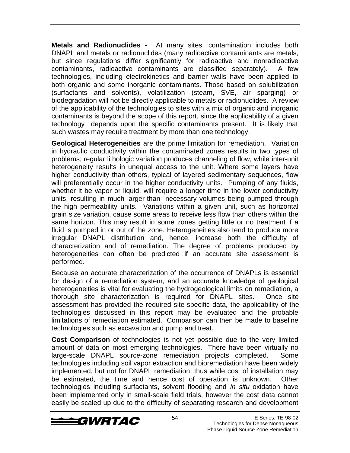**Metals and Radionuclides -** At many sites, contamination includes both DNAPL and metals or radionuclides (many radioactive contaminants are metals, but since regulations differ significantly for radioactive and nonradioactive contaminants, radioactive contaminants are classified separately). A few technologies, including electrokinetics and barrier walls have been applied to both organic and some inorganic contaminants. Those based on solubilization (surfactants and solvents), volatilization (steam, SVE, air sparging) or biodegradation will not be directly applicable to metals or radionuclides. A review of the applicability of the technologies to sites with a mix of organic and inorganic contaminants is beyond the scope of this report, since the applicability of a given technology depends upon the specific contaminants present. It is likely that such wastes may require treatment by more than one technology.

**Geological Heterogeneities** are the prime limitation for remediation. Variation in hydraulic conductivity within the contaminated zones results in two types of problems; regular lithologic variation produces channeling of flow, while inter-unit heterogeneity results in unequal access to the unit. Where some layers have higher conductivity than others, typical of layered sedimentary sequences, flow will preferentially occur in the higher conductivity units. Pumping of any fluids, whether it be vapor or liquid, will require a longer time in the lower conductivity units, resulting in much larger-than- necessary volumes being pumped through the high permeability units. Variations within a given unit, such as horizontal grain size variation, cause some areas to receive less flow than others within the same horizon. This may result in some zones getting little or no treatment if a fluid is pumped in or out of the zone. Heterogeneities also tend to produce more irregular DNAPL distribution and, hence, increase both the difficulty of characterization and of remediation. The degree of problems produced by heterogeneities can often be predicted if an accurate site assessment is performed.

Because an accurate characterization of the occurrence of DNAPLs is essential for design of a remediation system, and an accurate knowledge of geological heterogeneities is vital for evaluating the hydrogeological limits on remediation, a thorough site characterization is required for DNAPL sites. Once site assessment has provided the required site-specific data, the applicability of the technologies discussed in this report may be evaluated and the probable limitations of remediation estimated. Comparison can then be made to baseline technologies such as excavation and pump and treat.

**Cost Comparison** of technologies is not yet possible due to the very limited amount of data on most emerging technologies. There have been virtually no large-scale DNAPL source-zone remediation projects completed. Some technologies including soil vapor extraction and bioremediation have been widely implemented, but not for DNAPL remediation, thus while cost of installation may be estimated, the time and hence cost of operation is unknown. Other technologies including surfactants, solvent flooding and in situ oxidation have been implemented only in small-scale field trials, however the cost data cannot easily be scaled up due to the difficulty of separating research and development

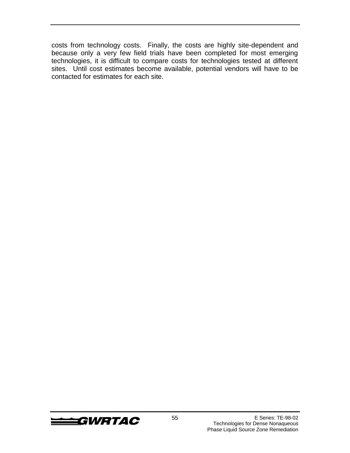costs from technology costs. Finally, the costs are highly site-dependent and because only a very few field trials have been completed for most emerging technologies, it is difficult to compare costs for technologies tested at different sites. Until cost estimates become available, potential vendors will have to be contacted for estimates for each site.

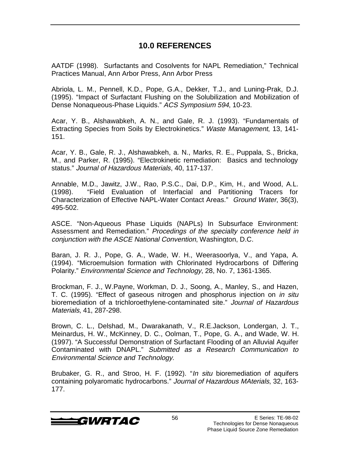### **10.0 REFERENCES**

AATDF (1998). Surfactants and Cosolvents for NAPL Remediation," Technical Practices Manual, Ann Arbor Press, Ann Arbor Press

Abriola, L. M., Pennell, K.D., Pope, G.A., Dekker, T.J., and Luning-Prak, D.J. (1995). "Impact of Surfactant Flushing on the Solubilization and Mobilization of Dense Nonaqueous-Phase Liquids." ACS Symposium 594, 10-23.

Acar, Y. B., Alshawabkeh, A. N., and Gale, R. J. (1993). "Fundamentals of Extracting Species from Soils by Electrokinetics." Waste Management, 13, 141- 151.

Acar, Y. B., Gale, R. J., Alshawabkeh, a. N., Marks, R. E., Puppala, S., Bricka, M., and Parker, R. (1995). "Electrokinetic remediation: Basics and technology status." Journal of Hazardous Materials, 40, 117-137.

Annable, M.D., Jawitz, J.W., Rao, P.S.C., Dai, D.P., Kim, H., and Wood, A.L. (1998). "Field Evaluation of Interfacial and Partitioning Tracers for Characterization of Effective NAPL-Water Contact Areas." Ground Water, 36(3), 495-502.

ASCE. "Non-Aqueous Phase Liquids (NAPLs) In Subsurface Environment: Assessment and Remediation." Procedings of the specialty conference held in conjunction with the ASCE National Convention, Washington, D.C.

Baran, J. R. J., Pope, G. A., Wade, W. H., Weerasoorlya, V., and Yapa, A. (1994). "Microemulsion formation with Chlorinated Hydrocarbons of Differing Polarity." Environmental Science and Technology, 28, No. 7, 1361-1365.

Brockman, F. J., W.Payne, Workman, D. J., Soong, A., Manley, S., and Hazen, T. C. (1995). "Effect of gaseous nitrogen and phosphorus injection on in situ bioremediation of a trichloroethylene-contaminated site." Journal of Hazardous Materials, 41, 287-298.

Brown, C. L., Delshad, M., Dwarakanath, V., R.E.Jackson, Londergan, J. T., Meinardus, H. W., McKinney, D. C., Oolman, T., Pope, G. A., and Wade, W. H. (1997). "A Successful Demonstration of Surfactant Flooding of an Alluvial Aquifer Contaminated with DNAPL." Submitted as a Research Communication to Environmental Science and Technology.

Brubaker, G. R., and Stroo, H. F. (1992). "In situ bioremediation of aquifers containing polyaromatic hydrocarbons." Journal of Hazardous MAterials, 32, 163- 177.

 $\triangleleft GWRTAC$  56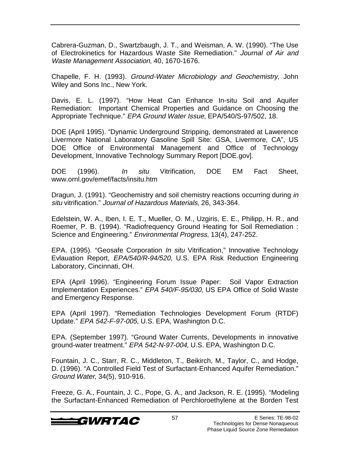Cabrera-Guzman, D., Swartzbaugh, J. T., and Weisman, A. W. (1990). "The Use of Electrokinetics for Hazardous Waste Site Remediation." Journal of Air and Waste Management Association, 40, 1670-1676.

Chapelle, F. H. (1993). Ground-Water Microbiology and Geochemistry, John Wiley and Sons Inc., New York.

Davis, E. L. (1997). "How Heat Can Enhance In-situ Soil and Aquifer Remediation: Important Chemical Properties and Guidance on Choosing the Appropriate Technique." EPA Ground Water Issue, EPA/540/S-97/502, 18.

DOE (April 1995). "Dynamic Underground Stripping, demonstrated at Lawerence Livermore National Laboratory Gasoline Spill Site: GSA, Livermore, CA", US DOE Office of Environmental Management and Office of Technology Development, Innovative Technology Summary Report [DOE.gov].

DOE (1996). In situ Vitrification, DOE EM Fact Sheet, www.ornl.gov/emef/facts/insitu.htm

Dragun, J. (1991). "Geochemistry and soil chemistry reactions occurring during in situ vitrification." Journal of Hazardous Materials, 26, 343-364.

Edelstein, W. A., Iben, I. E. T., Mueller, O. M., Uzgiris, E. E., Philipp, H. R., and Roemer, P. B. (1994). "Radiofrequency Ground Heating for Soil Remediation : Science and Engineering." Environmental Progress, 13(4), 247-252.

EPA. (1995). "Geosafe Corporation In situ Vitrification," Innovative Technology Evlauation Report, EPA/540/R-94/520, U.S. EPA Risk Reduction Engineering Laboratory, Cincinnati, OH.

EPA (April 1996). "Engineering Forum Issue Paper: Soil Vapor Extraction Implementation Experiences." EPA 540/F-95/030, US EPA Office of Solid Waste and Emergency Response.

EPA (April 1997). "Remediation Technologies Development Forum (RTDF) Update." EPA 542-F-97-005, U.S. EPA, Washington D.C.

EPA. (September 1997). "Ground Water Currents, Developments in innovative ground-water treatment." EPA 542-N-97-004, U.S. EPA, Washington D.C.

Fountain, J. C., Starr, R. C., Middleton, T., Beikirch, M., Taylor, C., and Hodge, D. (1996). "A Controlled Field Test of Surfactant-Enhanced Aquifer Remediation." Ground Water, 34(5), 910-916.

Freeze, G. A., Fountain, J. C., Pope, G. A., and Jackson, R. E. (1995). "Modeling the Surfactant-Enhanced Remediation of Perchloroethylene at the Borden Test

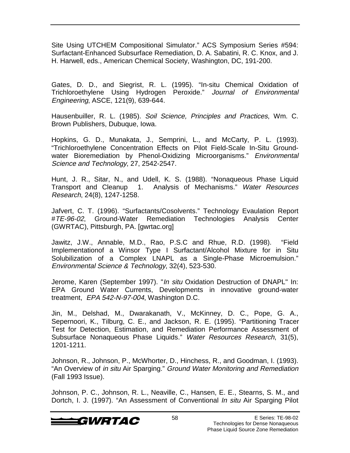Site Using UTCHEM Compositional Simulator." ACS Symposium Series #594: Surfactant-Enhanced Subsurface Remediation, D. A. Sabatini, R. C. Knox, and J. H. Harwell, eds., American Chemical Society, Washington, DC, 191-200.

Gates, D. D., and Siegrist, R. L. (1995). "In-situ Chemical Oxidation of Trichloroethylene Using Hydrogen Peroxide." Journal of Environmental Engineering, ASCE, 121(9), 639-644.

Hausenbuiller, R. L. (1985). Soil Science, Principles and Practices, Wm. C. Brown Publishers, Dubuque, Iowa.

Hopkins, G. D., Munakata, J., Semprini, L., and McCarty, P. L. (1993). "Trichloroethylene Concentration Effects on Pilot Field-Scale In-Situ Groundwater Bioremediation by Phenol-Oxidizing Microorganisms." Environmental Science and Technology, 27, 2542-2547.

Hunt, J. R., Sitar, N., and Udell, K. S. (1988). "Nonaqueous Phase Liquid Transport and Cleanup 1. Analysis of Mechanisms." Water Resources Research, 24(8), 1247-1258.

Jafvert, C. T. (1996). "Surfactants/Cosolvents." Technology Evaulation Report #TE-96-02, Ground-Water Remediation Technologies Analysis Center (GWRTAC), Pittsburgh, PA. [gwrtac.org]

Jawitz, J.W., Annable, M.D., Rao, P.S.C and Rhue, R.D. (1998). "Field Implementationof a Winsor Type I Surfactant/Alcohol Mixture for in Situ Solubilization of a Complex LNAPL as a Single-Phase Microemulsion." Environmental Science & Technology, 32(4), 523-530.

Jerome, Karen (September 1997). "In situ Oxidation Destruction of DNAPL" In: EPA Ground Water Currents, Developments in innovative ground-water treatment, EPA 542-N-97-004, Washington D.C.

Jin, M., Delshad, M., Dwarakanath, V., McKinney, D. C., Pope, G. A., Sepernoori, K., Tilburg, C. E., and Jackson, R. E. (1995). "Partitioning Tracer Test for Detection, Estimation, and Remediation Performance Assessment of Subsurface Nonaqueous Phase Liquids." Water Resources Research, 31(5), 1201-1211.

Johnson, R., Johnson, P., McWhorter, D., Hinchess, R., and Goodman, I. (1993). "An Overview of in situ Air Sparging." Ground Water Monitoring and Remediation (Fall 1993 Issue).

Johnson, P. C., Johnson, R. L., Neaville, C., Hansen, E. E., Stearns, S. M., and Dortch, I. J. (1997). "An Assessment of Conventional In situ Air Sparging Pilot

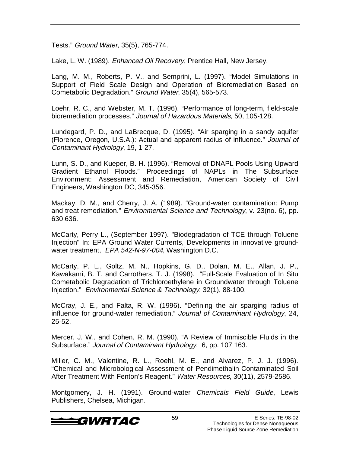Tests." Ground Water, 35(5), 765-774.

Lake, L. W. (1989). *Enhanced Oil Recovery*, Prentice Hall, New Jersey.

Lang, M. M., Roberts, P. V., and Semprini, L. (1997). "Model Simulations in Support of Field Scale Design and Operation of Bioremediation Based on Cometabolic Degradation." Ground Water, 35(4), 565-573.

Loehr, R. C., and Webster, M. T. (1996). "Performance of long-term, field-scale bioremediation processes." Journal of Hazardous Materials, 50, 105-128.

Lundegard, P. D., and LaBrecque, D. (1995). "Air sparging in a sandy aquifer (Florence, Oregon, U.S.A.): Actual and apparent radius of influence." Journal of Contaminant Hydrology, 19, 1-27.

Lunn, S. D., and Kueper, B. H. (1996). "Removal of DNAPL Pools Using Upward Gradient Ethanol Floods." Proceedings of NAPLs in The Subsurface Environment: Assessment and Remediation, American Society of Civil Engineers, Washington DC, 345-356.

Mackay, D. M., and Cherry, J. A. (1989). "Ground-water contamination: Pump and treat remediation." Environmental Science and Technology, v. 23(no. 6), pp. 630 636.

McCarty, Perry L., (September 1997). "Biodegradation of TCE through Toluene Injection" In: EPA Ground Water Currents, Developments in innovative groundwater treatment, EPA 542-N-97-004, Washington D.C.

McCarty, P. L., Goltz, M. N., Hopkins, G. D., Dolan, M. E., Allan, J. P., Kawakami, B. T. and Carrothers, T. J. (1998). "Full-Scale Evaluation of In Situ Cometabolic Degradation of Trichloroethylene in Groundwater through Toluene Injection." Environmental Science & Technology, 32(1), 88-100.

McCray, J. E., and Falta, R. W. (1996). "Defining the air sparging radius of influence for ground-water remediation." Journal of Contaminant Hydrology, 24, 25-52.

Mercer, J. W., and Cohen, R. M. (1990). "A Review of Immiscible Fluids in the Subsurface." Journal of Contaminant Hydrology, 6, pp. 107 163.

Miller, C. M., Valentine, R. L., Roehl, M. E., and Alvarez, P. J. J. (1996). "Chemical and Microbological Assessment of Pendimethalin-Contaminated Soil After Treatment With Fenton's Reagent." Water Resources, 30(11), 2579-2586.

Montgomery, J. H. (1991). Ground-water Chemicals Field Guide, Lewis Publishers, Chelsea, Michigan.

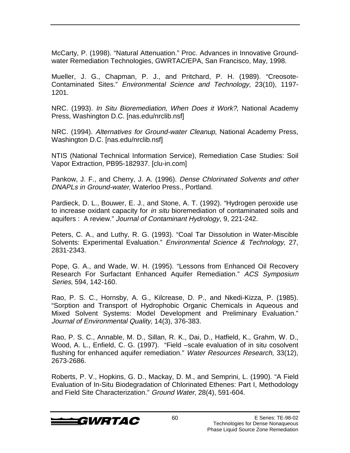McCarty, P. (1998). "Natural Attenuation." Proc. Advances in Innovative Groundwater Remediation Technologies, GWRTAC/EPA, San Francisco, May, 1998.

Mueller, J. G., Chapman, P. J., and Pritchard, P. H. (1989). "Creosote-Contaminated Sites." Environmental Science and Technology, 23(10), 1197- 1201.

NRC. (1993). In Situ Bioremediation, When Does it Work?, National Academy Press, Washington D.C. [nas.edu/nrclib.nsf]

NRC. (1994). Alternatives for Ground-water Cleanup, National Academy Press, Washington D.C. [nas.edu/nrclib.nsf]

NTIS (National Technical Information Service), Remediation Case Studies: Soil Vapor Extraction, PB95-182937. [clu-in.com]

Pankow, J. F., and Cherry, J. A. (1996). Dense Chlorinated Solvents and other DNAPLs in Ground-water, Waterloo Press., Portland.

Pardieck, D. L., Bouwer, E. J., and Stone, A. T. (1992). "Hydrogen peroxide use to increase oxidant capacity for in situ bioremediation of contaminated soils and aquifers : A review." Journal of Contaminant Hydrology, 9, 221-242.

Peters, C. A., and Luthy, R. G. (1993). "Coal Tar Dissolution in Water-Miscible Solvents: Experimental Evaluation." Environmental Science & Technology, 27, 2831-2343.

Pope, G. A., and Wade, W. H. (1995). "Lessons from Enhanced Oil Recovery Research For Surfactant Enhanced Aquifer Remediation." ACS Symposium Series, 594, 142-160.

Rao, P. S. C., Hornsby, A. G., Kilcrease, D. P., and Nkedi-Kizza, P. (1985). "Sorption and Transport of Hydrophobic Organic Chemicals in Aqueous and Mixed Solvent Systems: Model Development and Preliminary Evaluation." Journal of Environmental Quality, 14(3), 376-383.

Rao, P. S. C., Annable, M. D., Sillan, R. K., Dai, D., Hatfield, K., Grahm, W. D., Wood, A. L., Enfield, C. G. (1997). "Field –scale evaluation of in situ cosolvent flushing for enhanced aquifer remediation." Water Resources Research, 33(12), 2673-2686.

Roberts, P. V., Hopkins, G. D., Mackay, D. M., and Semprini, L. (1990). "A Field Evaluation of In-Situ Biodegradation of Chlorinated Ethenes: Part I, Methodology and Field Site Characterization." Ground Water, 28(4), 591-604.

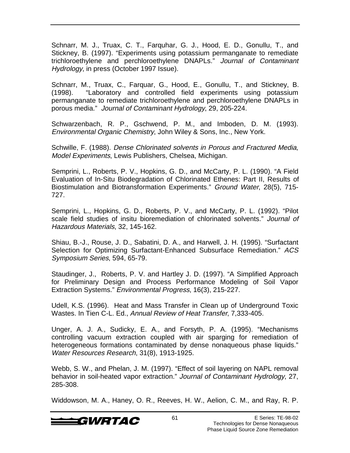Schnarr, M. J., Truax, C. T., Farquhar, G. J., Hood, E. D., Gonullu, T., and Stickney, B. (1997). "Experiments using potassium permanganate to remediate trichloroethylene and perchloroethylene DNAPLs." Journal of Contaminant Hydrology, in press (October 1997 Issue).

Schnarr, M., Truax, C., Farquar, G., Hood, E., Gonullu, T., and Stickney, B. (1998). "Laboratory and controlled field experiments using potassium permanganate to remediate trichloroethylene and perchloroethylene DNAPLs in porous media." Journal of Contaminant Hydrology, 29, 205-224.

Schwarzenbach, R. P., Gschwend, P. M., and Imboden, D. M. (1993). Environmental Organic Chemistry, John Wiley & Sons, Inc., New York.

Schwille, F. (1988). Dense Chlorinated solvents in Porous and Fractured Media, Model Experiments, Lewis Publishers, Chelsea, Michigan.

Semprini, L., Roberts, P. V., Hopkins, G. D., and McCarty, P. L. (1990). "A Field Evaluation of In-Situ Biodegradation of Chlorinated Ethenes: Part II, Results of Biostimulation and Biotransformation Experiments." Ground Water, 28(5), 715- 727.

Semprini, L., Hopkins, G. D., Roberts, P. V., and McCarty, P. L. (1992). "Pilot scale field studies of insitu bioremediation of chlorinated solvents." Journal of Hazardous Materials, 32, 145-162.

Shiau, B.-J., Rouse, J. D., Sabatini, D. A., and Harwell, J. H. (1995). "Surfactant Selection for Optimizing Surfactant-Enhanced Subsurface Remediation." ACS Symposium Series, 594, 65-79.

Staudinger, J., Roberts, P. V. and Hartley J. D. (1997). "A Simplified Approach for Preliminary Design and Process Performance Modeling of Soil Vapor Extraction Systems." Environmental Progress, 16(3), 215-227.

Udell, K.S. (1996). Heat and Mass Transfer in Clean up of Underground Toxic Wastes. In Tien C-L. Ed., Annual Review of Heat Transfer, 7,333-405.

Unger, A. J. A., Sudicky, E. A., and Forsyth, P. A. (1995). "Mechanisms controlling vacuum extraction coupled with air sparging for remediation of heterogeneous formations contaminated by dense nonaqueous phase liquids." Water Resources Research, 31(8), 1913-1925.

Webb, S. W., and Phelan, J. M. (1997). "Effect of soil layering on NAPL removal behavior in soil-heated vapor extraction." Journal of Contaminant Hydrology, 27, 285-308.

Widdowson, M. A., Haney, O. R., Reeves, H. W., Aelion, C. M., and Ray, R. P.